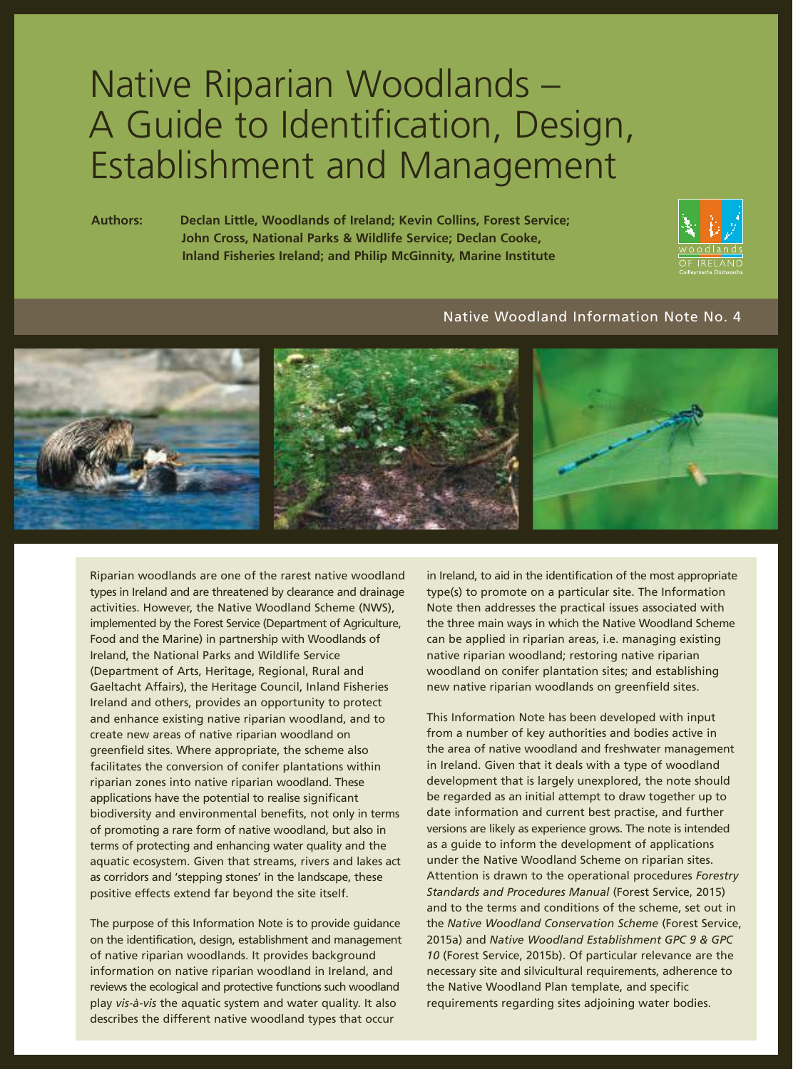# Native Riparian Woodlands – A Guide to Identification, Design, Establishment and Management

**Authors: Declan Little, Woodlands of Ireland; Kevin Collins, Forest Service; John Cross, National Parks & Wildlife Service; Declan Cooke, Inland Fisheries Ireland; and Philip McGinnity, Marine Institute**



# Native Woodland Information Note No. 4



Riparian woodlands are one of the rarest native woodland types in Ireland and are threatened by clearance and drainage activities. However, the Native Woodland Scheme (NWS), implemented by the Forest Service (Department of Agriculture, Food and the Marine) in partnership with Woodlands of Ireland, the National Parks and Wildlife Service (Department of Arts, Heritage, Regional, Rural and Gaeltacht Affairs), the Heritage Council, Inland Fisheries Ireland and others, provides an opportunity to protect and enhance existing native riparian woodland, and to create new areas of native riparian woodland on greenfield sites. Where appropriate, the scheme also facilitates the conversion of conifer plantations within riparian zones into native riparian woodland. These applications have the potential to realise significant biodiversity and environmental benefits, not only in terms of promoting a rare form of native woodland, but also in terms of protecting and enhancing water quality and the aquatic ecosystem. Given that streams, rivers and lakes act as corridors and 'stepping stones' in the landscape, these positive effects extend far beyond the site itself.

The purpose of this Information Note is to provide guidance on the identification, design, establishment and management of native riparian woodlands. It provides background information on native riparian woodland in Ireland, and reviews the ecological and protective functions such woodland play *vis-à-vis* the aquatic system and water quality. It also describes the different native woodland types that occur

in Ireland, to aid in the identification of the most appropriate type(s) to promote on a particular site. The Information Note then addresses the practical issues associated with the three main ways in which the Native Woodland Scheme can be applied in riparian areas, i.e. managing existing native riparian woodland; restoring native riparian woodland on conifer plantation sites; and establishing new native riparian woodlands on greenfield sites.

This Information Note has been developed with input from a number of key authorities and bodies active in the area of native woodland and freshwater management in Ireland. Given that it deals with a type of woodland development that is largely unexplored, the note should be regarded as an initial attempt to draw together up to date information and current best practise, and further versions are likely as experience grows. The note is intended as a guide to inform the development of applications under the Native Woodland Scheme on riparian sites. Attention is drawn to the operational procedures *Forestry Standards and Procedures Manual* (Forest Service, 2015) and to the terms and conditions of the scheme, set out in the *Native Woodland Conservation Scheme* (Forest Service, 2015a) and *Native Woodland Establishment GPC 9 & GPC 10* (Forest Service, 2015b). Of particular relevance are the necessary site and silvicultural requirements, adherence to the Native Woodland Plan template, and specific requirements regarding sites adjoining water bodies.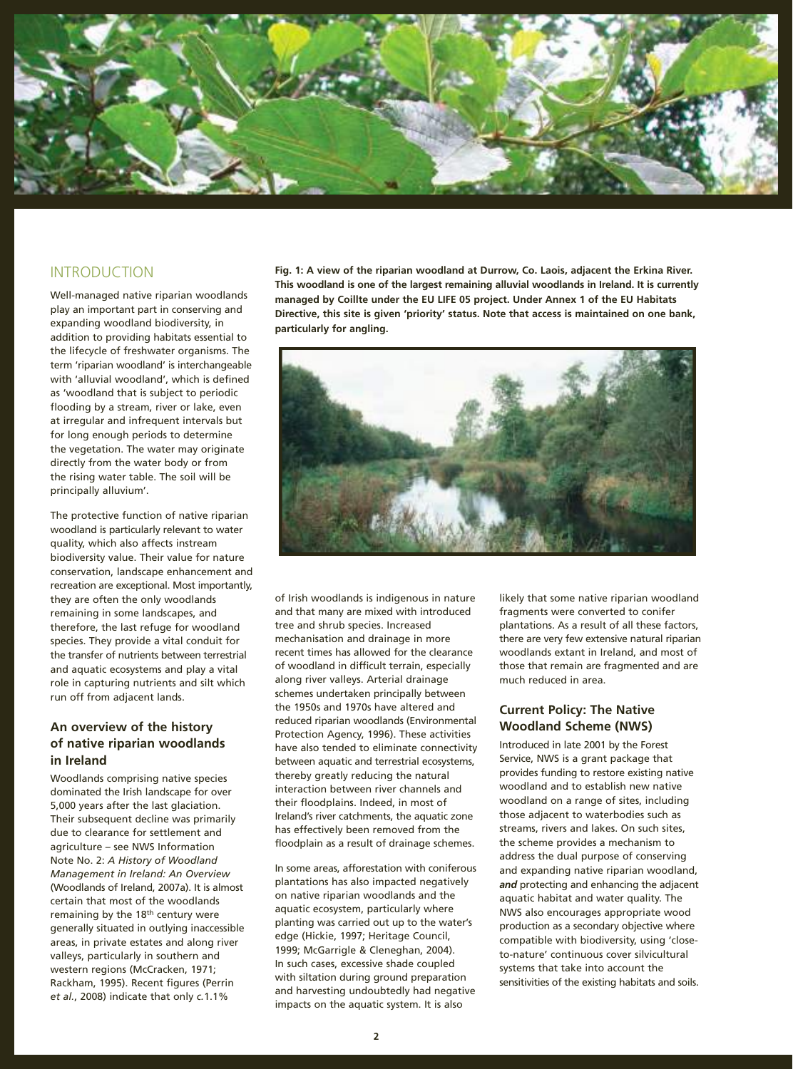

# INTRODUCTION

Well-managed native riparian woodlands play an important part in conserving and expanding woodland biodiversity, in addition to providing habitats essential to the lifecycle of freshwater organisms. The term 'riparian woodland' is interchangeable with 'alluvial woodland', which is defined as 'woodland that is subject to periodic flooding by a stream, river or lake, even at irregular and infrequent intervals but for long enough periods to determine the vegetation. The water may originate directly from the water body or from the rising water table. The soil will be principally alluvium'.

The protective function of native riparian woodland is particularly relevant to water quality, which also affects instream biodiversity value. Their value for nature conservation, landscape enhancement and recreation are exceptional. Most importantly, they are often the only woodlands remaining in some landscapes, and therefore, the last refuge for woodland species. They provide a vital conduit for the transfer of nutrients between terrestrial and aquatic ecosystems and play a vital role in capturing nutrients and silt which run off from adjacent lands.

## **An overview of the history of native riparian woodlands in Ireland**

Woodlands comprising native species dominated the Irish landscape for over 5,000 years after the last glaciation. Their subsequent decline was primarily due to clearance for settlement and agriculture – see NWS Information Note No. 2: *A History of Woodland Management in Ireland: An Overview*  (Woodlands of Ireland, 2007a). It is almost certain that most of the woodlands remaining by the 18<sup>th</sup> century were generally situated in outlying inaccessible areas, in private estates and along river valleys, particularly in southern and western regions (McCracken, 1971; Rackham, 1995). Recent figures (Perrin *et al.*, 2008) indicate that only *c.*1.1%

**Fig. 1: A view of the riparian woodland at Durrow, Co. Laois, adjacent the Erkina River. This woodland is one of the largest remaining alluvial woodlands in Ireland. It is currently managed by Coillte under the EU LIFE 05 project. Under Annex 1 of the EU Habitats Directive, this site is given 'priority' status. Note that access is maintained on one bank, particularly for angling.**



of Irish woodlands is indigenous in nature and that many are mixed with introduced tree and shrub species. Increased mechanisation and drainage in more recent times has allowed for the clearance of woodland in difficult terrain, especially along river valleys. Arterial drainage schemes undertaken principally between the 1950s and 1970s have altered and reduced riparian woodlands (Environmental Protection Agency, 1996). These activities have also tended to eliminate connectivity between aquatic and terrestrial ecosystems, thereby greatly reducing the natural interaction between river channels and their floodplains. Indeed, in most of Ireland's river catchments, the aquatic zone has effectively been removed from the floodplain as a result of drainage schemes.

In some areas, afforestation with coniferous plantations has also impacted negatively on native riparian woodlands and the aquatic ecosystem, particularly where planting was carried out up to the water's edge (Hickie, 1997; Heritage Council, 1999; McGarrigle & Cleneghan, 2004). In such cases, excessive shade coupled with siltation during ground preparation and harvesting undoubtedly had negative impacts on the aquatic system. It is also

likely that some native riparian woodland fragments were converted to conifer plantations. As a result of all these factors, there are very few extensive natural riparian woodlands extant in Ireland, and most of those that remain are fragmented and are much reduced in area.

### **Current Policy: The Native Woodland Scheme (NWS)**

Introduced in late 2001 by the Forest Service, NWS is a grant package that provides funding to restore existing native woodland and to establish new native woodland on a range of sites, including those adjacent to waterbodies such as streams, rivers and lakes. On such sites, the scheme provides a mechanism to address the dual purpose of conserving and expanding native riparian woodland, *and* protecting and enhancing the adjacent aquatic habitat and water quality. The NWS also encourages appropriate wood production as a secondary objective where compatible with biodiversity, using 'closeto-nature' continuous cover silvicultural systems that take into account the sensitivities of the existing habitats and soils.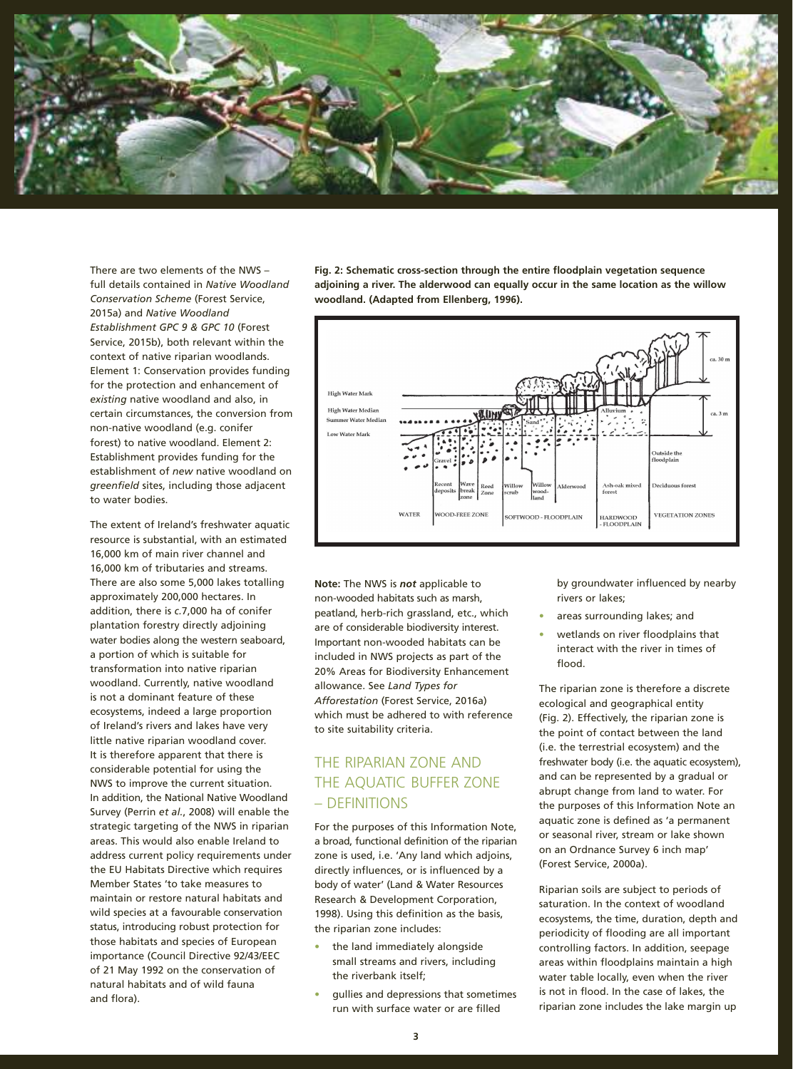

There are two elements of the NWS – full details contained in *Native Woodland Conservation Scheme* (Forest Service, 2015a) and *Native Woodland Establishment GPC 9 & GPC 10* (Forest Service, 2015b), both relevant within the context of native riparian woodlands. Element 1: Conservation provides funding for the protection and enhancement of *existing* native woodland and also, in certain circumstances, the conversion from non-native woodland (e.g. conifer forest) to native woodland. Element 2: Establishment provides funding for the establishment of *new* native woodland on *greenfield* sites, including those adjacent to water bodies.

The extent of Ireland's freshwater aquatic resource is substantial, with an estimated 16,000 km of main river channel and 16,000 km of tributaries and streams. There are also some 5,000 lakes totalling approximately 200,000 hectares. In addition, there is *c.*7,000 ha of conifer plantation forestry directly adjoining water bodies along the western seaboard, a portion of which is suitable for transformation into native riparian woodland. Currently, native woodland is not a dominant feature of these ecosystems, indeed a large proportion of Ireland's rivers and lakes have very little native riparian woodland cover. It is therefore apparent that there is considerable potential for using the NWS to improve the current situation. In addition, the National Native Woodland Survey (Perrin *et al.*, 2008) will enable the strategic targeting of the NWS in riparian areas. This would also enable Ireland to address current policy requirements under the EU Habitats Directive which requires Member States 'to take measures to maintain or restore natural habitats and wild species at a favourable conservation status, introducing robust protection for those habitats and species of European importance (Council Directive 92/43/EEC of 21 May 1992 on the conservation of natural habitats and of wild fauna and flora).

**Fig. 2: Schematic cross-section through the entire floodplain vegetation sequence adjoining a river. The alderwood can equally occur in the same location as the willow woodland. (Adapted from Ellenberg, 1996).**



**Note:** The NWS is *not* applicable to non-wooded habitats such as marsh, peatland, herb-rich grassland, etc., which are of considerable biodiversity interest. Important non-wooded habitats can be included in NWS projects as part of the 20% Areas for Biodiversity Enhancement allowance. See *Land Types for Afforestation* (Forest Service, 2016a) which must be adhered to with reference to site suitability criteria.

# THE RIPARIAN ZONE AND THE AQUATIC BUFFER ZONE – DEFINITIONS

For the purposes of this Information Note, a broad, functional definition of the riparian zone is used, i.e. 'Any land which adjoins, directly influences, or is influenced by a body of water' (Land & Water Resources Research & Development Corporation, 1998). Using this definition as the basis, the riparian zone includes:

- **•** the land immediately alongside small streams and rivers, including the riverbank itself;
- **•** gullies and depressions that sometimes run with surface water or are filled

by groundwater influenced by nearby rivers or lakes;

- **•** areas surrounding lakes; and
- **•** wetlands on river floodplains that interact with the river in times of flood.

The riparian zone is therefore a discrete ecological and geographical entity (Fig. 2). Effectively, the riparian zone is the point of contact between the land (i.e. the terrestrial ecosystem) and the freshwater body (i.e. the aquatic ecosystem), and can be represented by a gradual or abrupt change from land to water. For the purposes of this Information Note an aquatic zone is defined as 'a permanent or seasonal river, stream or lake shown on an Ordnance Survey 6 inch map' (Forest Service, 2000a).

Riparian soils are subject to periods of saturation. In the context of woodland ecosystems, the time, duration, depth and periodicity of flooding are all important controlling factors. In addition, seepage areas within floodplains maintain a high water table locally, even when the river is not in flood. In the case of lakes, the riparian zone includes the lake margin up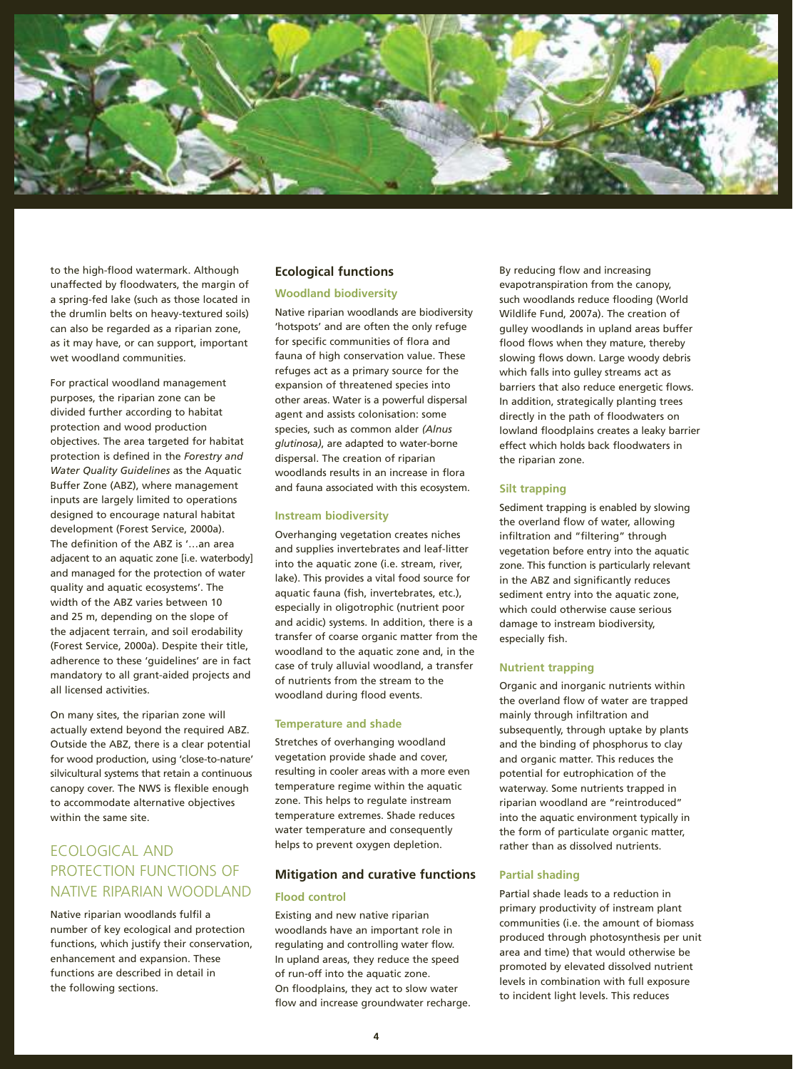

to the high-flood watermark. Although unaffected by floodwaters, the margin of a spring-fed lake (such as those located in the drumlin belts on heavy-textured soils) can also be regarded as a riparian zone, as it may have, or can support, important wet woodland communities.

For practical woodland management purposes, the riparian zone can be divided further according to habitat protection and wood production objectives. The area targeted for habitat protection is defined in the *Forestry and Water Quality Guidelines* as the Aquatic Buffer Zone (ABZ), where management inputs are largely limited to operations designed to encourage natural habitat development (Forest Service, 2000a). The definition of the ABZ is '…an area adjacent to an aquatic zone [i.e. waterbody] and managed for the protection of water quality and aquatic ecosystems'. The width of the ABZ varies between 10 and 25 m, depending on the slope of the adjacent terrain, and soil erodability (Forest Service, 2000a). Despite their title, adherence to these 'guidelines' are in fact mandatory to all grant-aided projects and all licensed activities.

On many sites, the riparian zone will actually extend beyond the required ABZ. Outside the ABZ, there is a clear potential for wood production, using 'close-to-nature' silvicultural systems that retain a continuous canopy cover. The NWS is flexible enough to accommodate alternative objectives within the same site.

# ECOLOGICAL AND PROTECTION FUNCTIONS OF NATIVE RIPARIAN WOODLAND

Native riparian woodlands fulfil a number of key ecological and protection functions, which justify their conservation, enhancement and expansion. These functions are described in detail in the following sections.

#### **Ecological functions**

#### **Woodland biodiversity**

Native riparian woodlands are biodiversity 'hotspots' and are often the only refuge for specific communities of flora and fauna of high conservation value. These refuges act as a primary source for the expansion of threatened species into other areas. Water is a powerful dispersal agent and assists colonisation: some species, such as common alder *(Alnus glutinosa)*, are adapted to water-borne dispersal. The creation of riparian woodlands results in an increase in flora and fauna associated with this ecosystem.

#### **Instream biodiversity**

Overhanging vegetation creates niches and supplies invertebrates and leaf-litter into the aquatic zone (i.e. stream, river, lake). This provides a vital food source for aquatic fauna (fish, invertebrates, etc.), especially in oligotrophic (nutrient poor and acidic) systems. In addition, there is a transfer of coarse organic matter from the woodland to the aquatic zone and, in the case of truly alluvial woodland, a transfer of nutrients from the stream to the woodland during flood events.

#### **Temperature and shade**

Stretches of overhanging woodland vegetation provide shade and cover, resulting in cooler areas with a more even temperature regime within the aquatic zone. This helps to regulate instream temperature extremes. Shade reduces water temperature and consequently helps to prevent oxygen depletion.

#### **Mitigation and curative functions**

#### **Flood control**

Existing and new native riparian woodlands have an important role in regulating and controlling water flow. In upland areas, they reduce the speed of run-off into the aquatic zone. On floodplains, they act to slow water flow and increase groundwater recharge. By reducing flow and increasing evapotranspiration from the canopy, such woodlands reduce flooding (World Wildlife Fund, 2007a). The creation of gulley woodlands in upland areas buffer flood flows when they mature, thereby slowing flows down. Large woody debris which falls into gulley streams act as barriers that also reduce energetic flows. In addition, strategically planting trees directly in the path of floodwaters on lowland floodplains creates a leaky barrier effect which holds back floodwaters in the riparian zone.

#### **Silt trapping**

Sediment trapping is enabled by slowing the overland flow of water, allowing infiltration and "filtering" through vegetation before entry into the aquatic zone. This function is particularly relevant in the ABZ and significantly reduces sediment entry into the aquatic zone, which could otherwise cause serious damage to instream biodiversity, especially fish.

#### **Nutrient trapping**

Organic and inorganic nutrients within the overland flow of water are trapped mainly through infiltration and subsequently, through uptake by plants and the binding of phosphorus to clay and organic matter. This reduces the potential for eutrophication of the waterway. Some nutrients trapped in riparian woodland are "reintroduced" into the aquatic environment typically in the form of particulate organic matter, rather than as dissolved nutrients.

#### **Partial shading**

Partial shade leads to a reduction in primary productivity of instream plant communities (i.e. the amount of biomass produced through photosynthesis per unit area and time) that would otherwise be promoted by elevated dissolved nutrient levels in combination with full exposure to incident light levels. This reduces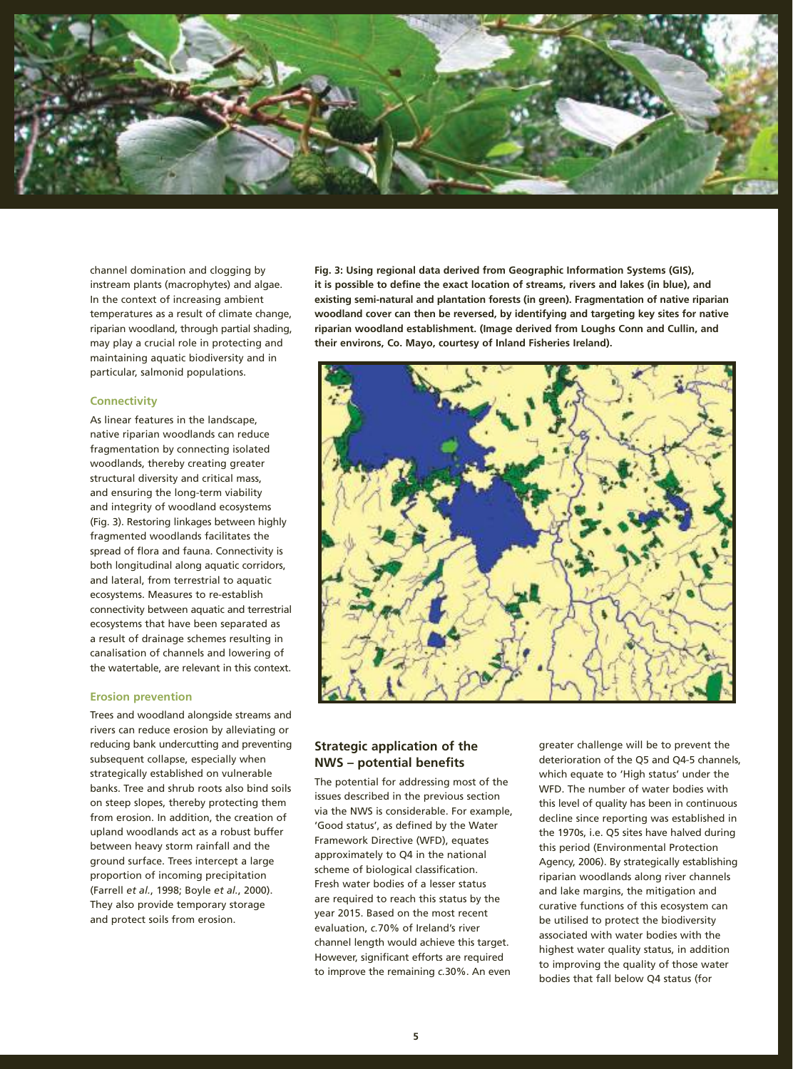

channel domination and clogging by instream plants (macrophytes) and algae. In the context of increasing ambient temperatures as a result of climate change, riparian woodland, through partial shading, may play a crucial role in protecting and maintaining aquatic biodiversity and in particular, salmonid populations.

#### **Connectivity**

As linear features in the landscape, native riparian woodlands can reduce fragmentation by connecting isolated woodlands, thereby creating greater structural diversity and critical mass, and ensuring the long-term viability and integrity of woodland ecosystems (Fig. 3). Restoring linkages between highly fragmented woodlands facilitates the spread of flora and fauna. Connectivity is both longitudinal along aquatic corridors, and lateral, from terrestrial to aquatic ecosystems. Measures to re-establish connectivity between aquatic and terrestrial ecosystems that have been separated as a result of drainage schemes resulting in canalisation of channels and lowering of the watertable, are relevant in this context.

#### **Erosion prevention**

Trees and woodland alongside streams and rivers can reduce erosion by alleviating or reducing bank undercutting and preventing subsequent collapse, especially when strategically established on vulnerable banks. Tree and shrub roots also bind soils on steep slopes, thereby protecting them from erosion. In addition, the creation of upland woodlands act as a robust buffer between heavy storm rainfall and the ground surface. Trees intercept a large proportion of incoming precipitation (Farrell *et al.*, 1998; Boyle *et al.*, 2000). They also provide temporary storage and protect soils from erosion.

**Fig. 3: Using regional data derived from Geographic Information Systems (GIS), it is possible to define the exact location of streams, rivers and lakes (in blue), and existing semi-natural and plantation forests (in green). Fragmentation of native riparian woodland cover can then be reversed, by identifying and targeting key sites for native riparian woodland establishment. (Image derived from Loughs Conn and Cullin, and their environs, Co. Mayo, courtesy of Inland Fisheries Ireland).**



### **Strategic application of the NWS – potential benefits**

The potential for addressing most of the issues described in the previous section via the NWS is considerable. For example, 'Good status', as defined by the Water Framework Directive (WFD), equates approximately to Q4 in the national scheme of biological classification. Fresh water bodies of a lesser status are required to reach this status by the year 2015. Based on the most recent evaluation, *c.*70% of Ireland's river channel length would achieve this target. However, significant efforts are required to improve the remaining *c.*30%. An even

greater challenge will be to prevent the deterioration of the Q5 and Q4-5 channels, which equate to 'High status' under the WFD. The number of water bodies with this level of quality has been in continuous decline since reporting was established in the 1970s, i.e. Q5 sites have halved during this period (Environmental Protection Agency, 2006). By strategically establishing riparian woodlands along river channels and lake margins, the mitigation and curative functions of this ecosystem can be utilised to protect the biodiversity associated with water bodies with the highest water quality status, in addition to improving the quality of those water bodies that fall below Q4 status (for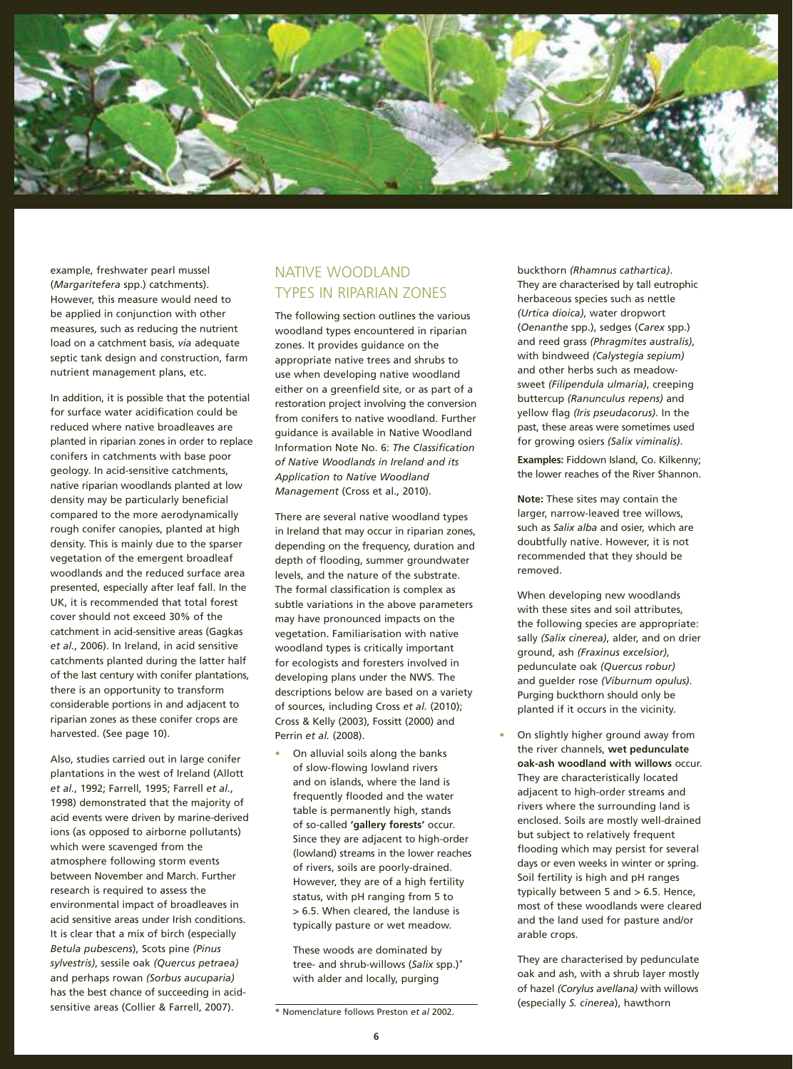

example, freshwater pearl mussel (*Margaritefera* spp.) catchments). However, this measure would need to be applied in conjunction with other measures, such as reducing the nutrient load on a catchment basis, *via* adequate septic tank design and construction, farm nutrient management plans, etc.

In addition, it is possible that the potential for surface water acidification could be reduced where native broadleaves are planted in riparian zones in order to replace conifers in catchments with base poor geology. In acid-sensitive catchments, native riparian woodlands planted at low density may be particularly beneficial compared to the more aerodynamically rough conifer canopies, planted at high density. This is mainly due to the sparser vegetation of the emergent broadleaf woodlands and the reduced surface area presented, especially after leaf fall. In the UK, it is recommended that total forest cover should not exceed 30% of the catchment in acid-sensitive areas (Gagkas *et al.*, 2006). In Ireland, in acid sensitive catchments planted during the latter half of the last century with conifer plantations, there is an opportunity to transform considerable portions in and adjacent to riparian zones as these conifer crops are harvested. (See page 10).

Also, studies carried out in large conifer plantations in the west of Ireland (Allott *et al.*, 1992; Farrell, 1995; Farrell *et al.*, 1998) demonstrated that the majority of acid events were driven by marine-derived ions (as opposed to airborne pollutants) which were scavenged from the atmosphere following storm events between November and March. Further research is required to assess the environmental impact of broadleaves in acid sensitive areas under Irish conditions. It is clear that a mix of birch (especially *Betula pubescens*), Scots pine *(Pinus sylvestris)*, sessile oak *(Quercus petraea)*  and perhaps rowan *(Sorbus aucuparia)*  has the best chance of succeeding in acidsensitive areas (Collier & Farrell, 2007).

# NATIVE WOODLAND TYPES IN RIPARIAN ZONES

The following section outlines the various woodland types encountered in riparian zones. It provides guidance on the appropriate native trees and shrubs to use when developing native woodland either on a greenfield site, or as part of a restoration project involving the conversion from conifers to native woodland. Further guidance is available in Native Woodland Information Note No. 6: *The Classification of Native Woodlands in Ireland and its Application to Native Woodland Management* (Cross et al., 2010).

There are several native woodland types in Ireland that may occur in riparian zones, depending on the frequency, duration and depth of flooding, summer groundwater levels, and the nature of the substrate. The formal classification is complex as subtle variations in the above parameters may have pronounced impacts on the vegetation. Familiarisation with native woodland types is critically important for ecologists and foresters involved in developing plans under the NWS. The descriptions below are based on a variety of sources, including Cross *et al.* (2010); Cross & Kelly (2003), Fossitt (2000) and Perrin *et al.* (2008).

**•** On alluvial soils along the banks of slow-flowing lowland rivers and on islands, where the land is frequently flooded and the water table is permanently high, stands of so-called **'gallery forests'** occur. Since they are adjacent to high-order (lowland) streams in the lower reaches of rivers, soils are poorly-drained. However, they are of a high fertility status, with pH ranging from 5 to > 6.5. When cleared, the landuse is typically pasture or wet meadow.

These woods are dominated by tree- and shrub-willows (*Salix* spp.)\* with alder and locally, purging

buckthorn *(Rhamnus cathartica)*. They are characterised by tall eutrophic herbaceous species such as nettle *(Urtica dioica)*, water dropwort (*Oenanthe* spp.), sedges (*Carex* spp.) and reed grass *(Phragmites australis)*, with bindweed *(Calystegia sepium)*  and other herbs such as meadowsweet *(Filipendula ulmaria)*, creeping buttercup *(Ranunculus repens)* and yellow flag *(Iris pseudacorus)*. In the past, these areas were sometimes used for growing osiers *(Salix viminalis)*.

**Examples:** Fiddown Island, Co. Kilkenny; the lower reaches of the River Shannon.

**Note:** These sites may contain the larger, narrow-leaved tree willows, such as *Salix alba* and osier, which are doubtfully native. However, it is not recommended that they should be removed.

When developing new woodlands with these sites and soil attributes, the following species are appropriate: sally *(Salix cinerea)*, alder, and on drier ground, ash *(Fraxinus excelsior)*, pedunculate oak *(Quercus robur)*  and guelder rose *(Viburnum opulus)*. Purging buckthorn should only be planted if it occurs in the vicinity.

**•** On slightly higher ground away from the river channels, **wet pedunculate oak-ash woodland with willows** occur. They are characteristically located adjacent to high-order streams and rivers where the surrounding land is enclosed. Soils are mostly well-drained but subject to relatively frequent flooding which may persist for several days or even weeks in winter or spring. Soil fertility is high and pH ranges typically between 5 and > 6.5. Hence, most of these woodlands were cleared and the land used for pasture and/or arable crops.

They are characterised by pedunculate oak and ash, with a shrub layer mostly of hazel *(Corylus avellana)* with willows (especially *S. cinerea*), hawthorn

<sup>\*</sup> Nomenclature follows Preston *et al* 2002.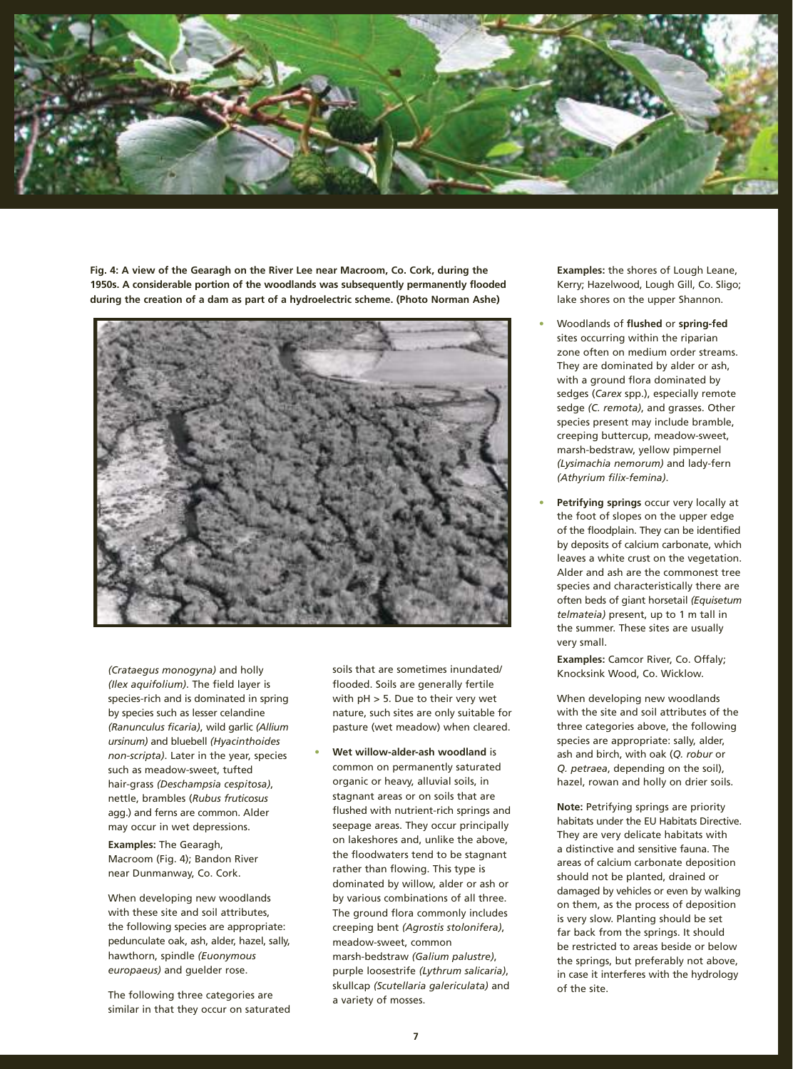

**Fig. 4: A view of the Gearagh on the River Lee near Macroom, Co. Cork, during the 1950s. A considerable portion of the woodlands was subsequently permanently flooded during the creation of a dam as part of a hydroelectric scheme. (Photo Norman Ashe)**



*(Crataegus monogyna)* and holly *(Ilex aquifolium)*. The field layer is species-rich and is dominated in spring by species such as lesser celandine *(Ranunculus ficaria)*, wild garlic *(Allium ursinum)* and bluebell *(Hyacinthoides non-scripta)*. Later in the year, species such as meadow-sweet, tufted hair-grass *(Deschampsia cespitosa)*, nettle, brambles (*Rubus fruticosus*  agg.) and ferns are common. Alder may occur in wet depressions.

**Examples:** The Gearagh, Macroom (Fig. 4); Bandon River near Dunmanway, Co. Cork.

When developing new woodlands with these site and soil attributes, the following species are appropriate: pedunculate oak, ash, alder, hazel, sally, hawthorn, spindle *(Euonymous europaeus)* and guelder rose.

The following three categories are similar in that they occur on saturated soils that are sometimes inundated/ flooded. Soils are generally fertile with pH > 5. Due to their very wet nature, such sites are only suitable for pasture (wet meadow) when cleared.

**• Wet willow-alder-ash woodland** is common on permanently saturated organic or heavy, alluvial soils, in stagnant areas or on soils that are flushed with nutrient-rich springs and seepage areas. They occur principally on lakeshores and, unlike the above, the floodwaters tend to be stagnant rather than flowing. This type is dominated by willow, alder or ash or by various combinations of all three. The ground flora commonly includes creeping bent *(Agrostis stolonifera)*, meadow-sweet, common marsh-bedstraw *(Galium palustre)*, purple loosestrife *(Lythrum salicaria)*, skullcap *(Scutellaria galericulata)* and a variety of mosses.

**Examples:** the shores of Lough Leane, Kerry; Hazelwood, Lough Gill, Co. Sligo; lake shores on the upper Shannon.

- **•** Woodlands of **flushed** or **spring-fed**  sites occurring within the riparian zone often on medium order streams. They are dominated by alder or ash, with a ground flora dominated by sedges (*Carex* spp.), especially remote sedge *(C. remota)*, and grasses. Other species present may include bramble, creeping buttercup, meadow-sweet, marsh-bedstraw, yellow pimpernel *(Lysimachia nemorum)* and lady-fern *(Athyrium filix-femina)*.
- **• Petrifying springs** occur very locally at the foot of slopes on the upper edge of the floodplain. They can be identified by deposits of calcium carbonate, which leaves a white crust on the vegetation. Alder and ash are the commonest tree species and characteristically there are often beds of giant horsetail *(Equisetum telmateia)* present, up to 1 m tall in the summer. These sites are usually very small.

**Examples:** Camcor River, Co. Offaly; Knocksink Wood, Co. Wicklow.

When developing new woodlands with the site and soil attributes of the three categories above, the following species are appropriate: sally, alder, ash and birch, with oak (*Q. robur* or *Q. petraea*, depending on the soil), hazel, rowan and holly on drier soils.

**Note:** Petrifying springs are priority habitats under the EU Habitats Directive. They are very delicate habitats with a distinctive and sensitive fauna. The areas of calcium carbonate deposition should not be planted, drained or damaged by vehicles or even by walking on them, as the process of deposition is very slow. Planting should be set far back from the springs. It should be restricted to areas beside or below the springs, but preferably not above, in case it interferes with the hydrology of the site.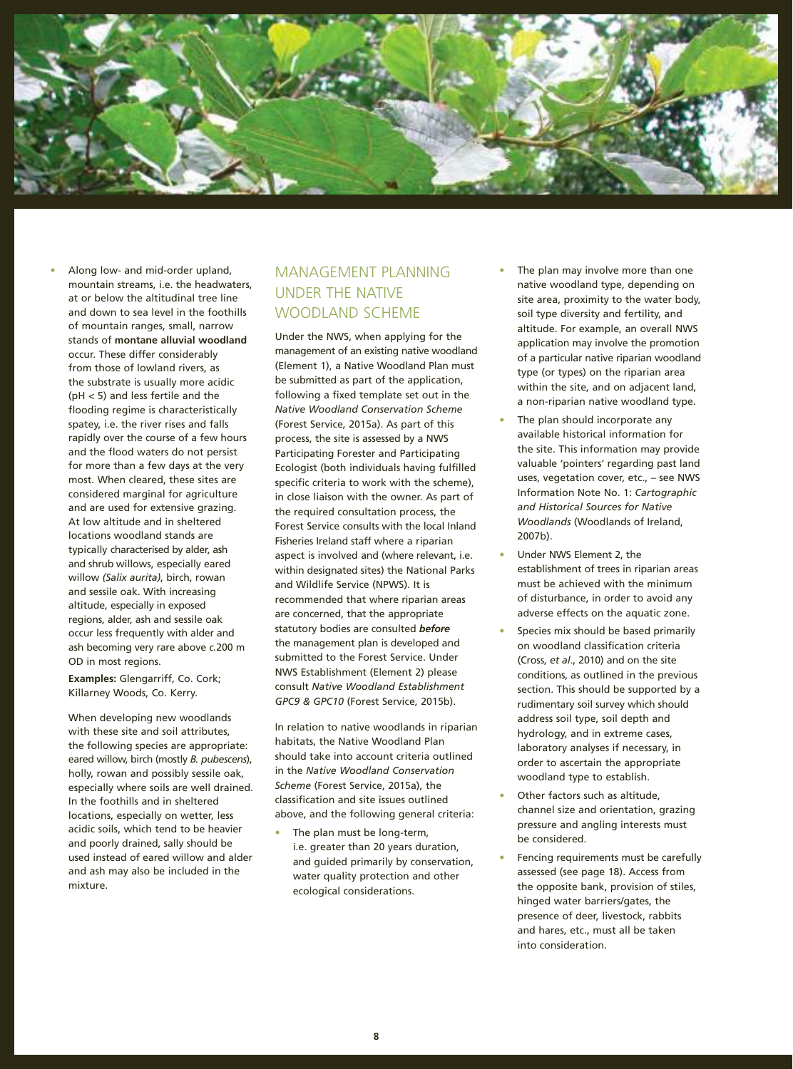

**•** Along low- and mid-order upland, mountain streams, i.e. the headwaters, at or below the altitudinal tree line and down to sea level in the foothills of mountain ranges, small, narrow stands of **montane alluvial woodland**  occur. These differ considerably from those of lowland rivers, as the substrate is usually more acidic (pH < 5) and less fertile and the flooding regime is characteristically spatey, i.e. the river rises and falls rapidly over the course of a few hours and the flood waters do not persist for more than a few days at the very most. When cleared, these sites are considered marginal for agriculture and are used for extensive grazing. At low altitude and in sheltered locations woodland stands are typically characterised by alder, ash and shrub willows, especially eared willow *(Salix aurita)*, birch, rowan and sessile oak. With increasing altitude, especially in exposed regions, alder, ash and sessile oak occur less frequently with alder and ash becoming very rare above *c.*200 m OD in most regions.

**Examples:** Glengarriff, Co. Cork; Killarney Woods, Co. Kerry.

When developing new woodlands with these site and soil attributes. the following species are appropriate: eared willow, birch (mostly *B. pubescens*), holly, rowan and possibly sessile oak, especially where soils are well drained. In the foothills and in sheltered locations, especially on wetter, less acidic soils, which tend to be heavier and poorly drained, sally should be used instead of eared willow and alder and ash may also be included in the mixture.

# MANAGEMENT PLANNING UNDER THE NATIVE WOODLAND SCHEME

Under the NWS, when applying for the management of an existing native woodland (Element 1), a Native Woodland Plan must be submitted as part of the application, following a fixed template set out in the *Native Woodland Conservation Scheme*  (Forest Service, 2015a). As part of this process, the site is assessed by a NWS Participating Forester and Participating Ecologist (both individuals having fulfilled specific criteria to work with the scheme), in close liaison with the owner. As part of the required consultation process, the Forest Service consults with the local Inland Fisheries Ireland staff where a riparian aspect is involved and (where relevant, i.e. within designated sites) the National Parks and Wildlife Service (NPWS). It is recommended that where riparian areas are concerned, that the appropriate statutory bodies are consulted *before* the management plan is developed and submitted to the Forest Service. Under NWS Establishment (Element 2) please consult *Native Woodland Establishment GPC9 & GPC10* (Forest Service, 2015b).

In relation to native woodlands in riparian habitats, the Native Woodland Plan should take into account criteria outlined in the *Native Woodland Conservation Scheme* (Forest Service, 2015a), the classification and site issues outlined above, and the following general criteria:

**•** The plan must be long-term, i.e. greater than 20 years duration, and guided primarily by conservation, water quality protection and other ecological considerations.

- **•** The plan may involve more than one native woodland type, depending on site area, proximity to the water body, soil type diversity and fertility, and altitude. For example, an overall NWS application may involve the promotion of a particular native riparian woodland type (or types) on the riparian area within the site, and on adjacent land, a non-riparian native woodland type.
- **•** The plan should incorporate any available historical information for the site. This information may provide valuable 'pointers' regarding past land uses, vegetation cover, etc., – see NWS Information Note No. 1: *Cartographic and Historical Sources for Native Woodlands* (Woodlands of Ireland, 2007b).
- **•** Under NWS Element 2, the establishment of trees in riparian areas must be achieved with the minimum of disturbance, in order to avoid any adverse effects on the aquatic zone.
- **•** Species mix should be based primarily on woodland classification criteria (Cross, *et al*., 2010) and on the site conditions, as outlined in the previous section. This should be supported by a rudimentary soil survey which should address soil type, soil depth and hydrology, and in extreme cases, laboratory analyses if necessary, in order to ascertain the appropriate woodland type to establish.
- **•** Other factors such as altitude, channel size and orientation, grazing pressure and angling interests must be considered.
- **•** Fencing requirements must be carefully assessed (see page 18). Access from the opposite bank, provision of stiles, hinged water barriers/gates, the presence of deer, livestock, rabbits and hares, etc., must all be taken into consideration.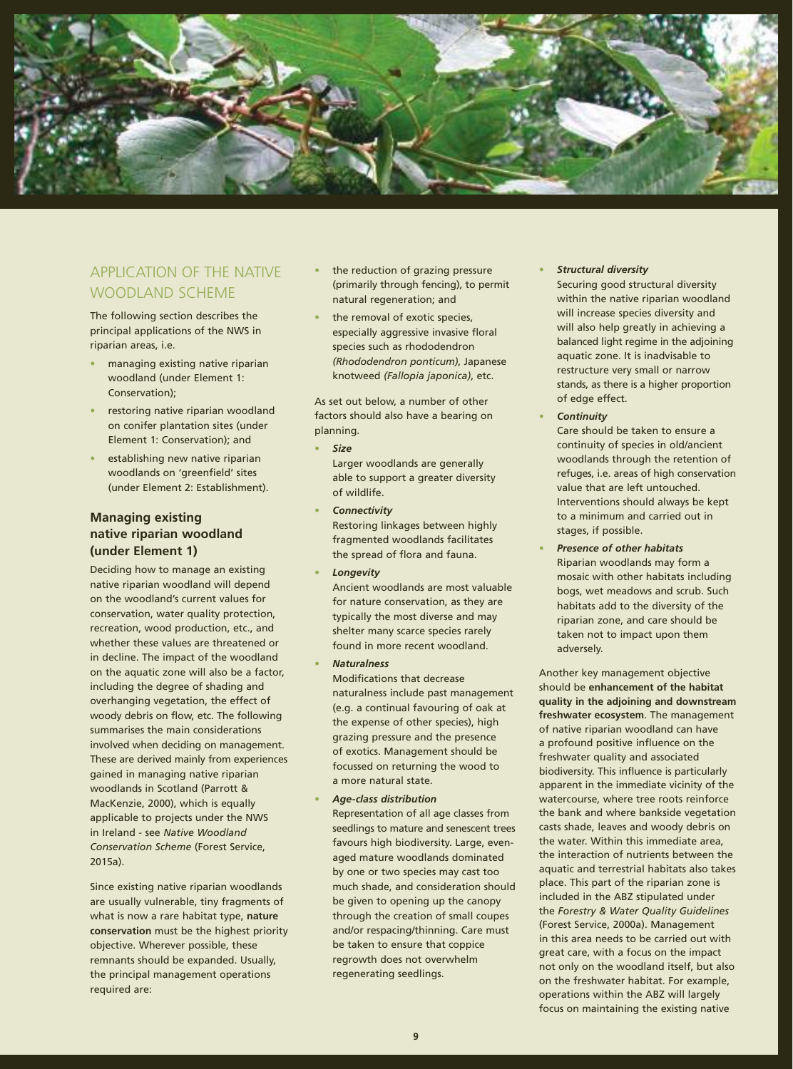

# APPLICATION OF THE NATIVE WOODLAND SCHEME

The following section describes the principal applications of the NWS in riparian areas, i.e.

- **•** managing existing native riparian woodland (under Element 1: Conservation);
- **•** restoring native riparian woodland on conifer plantation sites (under Element 1: Conservation); and
- **•** establishing new native riparian woodlands on 'greenfield' sites (under Element 2: Establishment).

# **Managing existing native riparian woodland (under Element 1)**

Deciding how to manage an existing native riparian woodland will depend on the woodland's current values for conservation, water quality protection, recreation, wood production, etc., and whether these values are threatened or in decline. The impact of the woodland on the aquatic zone will also be a factor, including the degree of shading and overhanging vegetation, the effect of woody debris on flow, etc. The following summarises the main considerations involved when deciding on management. These are derived mainly from experiences gained in managing native riparian woodlands in Scotland (Parrott & MacKenzie, 2000), which is equally applicable to projects under the NWS in Ireland - see *Native Woodland Conservation Scheme* (Forest Service, 2015a).

Since existing native riparian woodlands are usually vulnerable, tiny fragments of what is now a rare habitat type, **nature conservation** must be the highest priority objective. Wherever possible, these remnants should be expanded. Usually, the principal management operations required are:

- **•** the reduction of grazing pressure (primarily through fencing), to permit natural regeneration; and
- **•** the removal of exotic species, especially aggressive invasive floral species such as rhododendron *(Rhododendron ponticum)*, Japanese knotweed *(Fallopia japonica)*, etc.

As set out below, a number of other factors should also have a bearing on planning.

**•** *Size*

Larger woodlands are generally able to support a greater diversity of wildlife.

- **•** *Connectivity* Restoring linkages between highly fragmented woodlands facilitates the spread of flora and fauna.
- **•** *Longevity*

Ancient woodlands are most valuable for nature conservation, as they are typically the most diverse and may shelter many scarce species rarely found in more recent woodland.

**•** *Naturalness*

Modifications that decrease naturalness include past management (e.g. a continual favouring of oak at the expense of other species), high grazing pressure and the presence of exotics. Management should be focussed on returning the wood to a more natural state.

**•** *Age-class distribution*

Representation of all age classes from seedlings to mature and senescent trees favours high biodiversity. Large, evenaged mature woodlands dominated by one or two species may cast too much shade, and consideration should be given to opening up the canopy through the creation of small coupes and/or respacing/thinning. Care must be taken to ensure that coppice regrowth does not overwhelm regenerating seedlings.

#### **•** *Structural diversity*

Securing good structural diversity within the native riparian woodland will increase species diversity and will also help greatly in achieving a balanced light regime in the adjoining aquatic zone. It is inadvisable to restructure very small or narrow stands, as there is a higher proportion of edge effect.

**•** *Continuity*

Care should be taken to ensure a continuity of species in old/ancient woodlands through the retention of refuges, i.e. areas of high conservation value that are left untouched. Interventions should always be kept to a minimum and carried out in stages, if possible.

**•** *Presence of other habitats* Riparian woodlands may form a mosaic with other habitats including bogs, wet meadows and scrub. Such habitats add to the diversity of the riparian zone, and care should be taken not to impact upon them adversely.

Another key management objective should be **enhancement of the habitat quality in the adjoining and downstream freshwater ecosystem**. The management of native riparian woodland can have a profound positive influence on the freshwater quality and associated biodiversity. This influence is particularly apparent in the immediate vicinity of the watercourse, where tree roots reinforce the bank and where bankside vegetation casts shade, leaves and woody debris on the water. Within this immediate area, the interaction of nutrients between the aquatic and terrestrial habitats also takes place. This part of the riparian zone is included in the ABZ stipulated under the *Forestry & Water Quality Guidelines*  (Forest Service, 2000a). Management in this area needs to be carried out with great care, with a focus on the impact not only on the woodland itself, but also on the freshwater habitat. For example, operations within the ABZ will largely focus on maintaining the existing native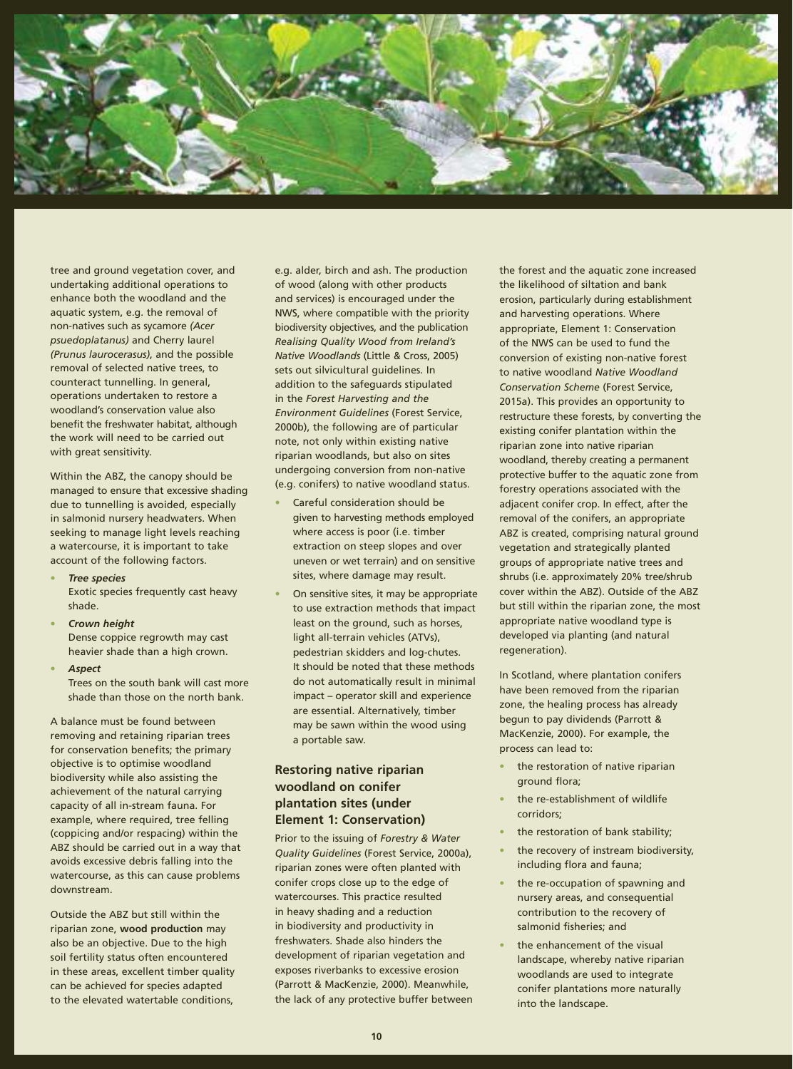

tree and ground vegetation cover, and undertaking additional operations to enhance both the woodland and the aquatic system, e.g. the removal of non-natives such as sycamore *(Acer psuedoplatanus)* and Cherry laurel *(Prunus laurocerasus)*, and the possible removal of selected native trees, to counteract tunnelling. In general, operations undertaken to restore a woodland's conservation value also benefit the freshwater habitat, although the work will need to be carried out with great sensitivity.

Within the ABZ, the canopy should be managed to ensure that excessive shading due to tunnelling is avoided, especially in salmonid nursery headwaters. When seeking to manage light levels reaching a watercourse, it is important to take account of the following factors.

- **•** *Tree species* Exotic species frequently cast heavy shade.
- **•** *Crown height* Dense coppice regrowth may cast heavier shade than a high crown.
- **•** *Aspect* Trees on the south bank will cast more shade than those on the north bank.

A balance must be found between removing and retaining riparian trees for conservation benefits; the primary objective is to optimise woodland biodiversity while also assisting the achievement of the natural carrying capacity of all in-stream fauna. For example, where required, tree felling (coppicing and/or respacing) within the ABZ should be carried out in a way that avoids excessive debris falling into the watercourse, as this can cause problems downstream.

Outside the ABZ but still within the riparian zone, **wood production** may also be an objective. Due to the high soil fertility status often encountered in these areas, excellent timber quality can be achieved for species adapted to the elevated watertable conditions,

e.g. alder, birch and ash. The production of wood (along with other products and services) is encouraged under the NWS, where compatible with the priority biodiversity objectives, and the publication *Realising Quality Wood from Ireland's Native Woodlands* (Little & Cross, 2005) sets out silvicultural guidelines. In addition to the safeguards stipulated in the *Forest Harvesting and the Environment Guidelines* (Forest Service, 2000b), the following are of particular note, not only within existing native riparian woodlands, but also on sites undergoing conversion from non-native (e.g. conifers) to native woodland status.

- **•** Careful consideration should be given to harvesting methods employed where access is poor (i.e. timber extraction on steep slopes and over uneven or wet terrain) and on sensitive sites, where damage may result.
- **•** On sensitive sites, it may be appropriate to use extraction methods that impact least on the ground, such as horses, light all-terrain vehicles (ATVs), pedestrian skidders and log-chutes. It should be noted that these methods do not automatically result in minimal impact – operator skill and experience are essential. Alternatively, timber may be sawn within the wood using a portable saw.

# **Restoring native riparian woodland on conifer plantation sites (under Element 1: Conservation)**

Prior to the issuing of *Forestry & Water Quality Guidelines* (Forest Service, 2000a), riparian zones were often planted with conifer crops close up to the edge of watercourses. This practice resulted in heavy shading and a reduction in biodiversity and productivity in freshwaters. Shade also hinders the development of riparian vegetation and exposes riverbanks to excessive erosion (Parrott & MacKenzie, 2000). Meanwhile, the lack of any protective buffer between the forest and the aquatic zone increased the likelihood of siltation and bank erosion, particularly during establishment and harvesting operations. Where appropriate, Element 1: Conservation of the NWS can be used to fund the conversion of existing non-native forest to native woodland *Native Woodland Conservation Scheme* (Forest Service, 2015a). This provides an opportunity to restructure these forests, by converting the existing conifer plantation within the riparian zone into native riparian woodland, thereby creating a permanent protective buffer to the aquatic zone from forestry operations associated with the adjacent conifer crop. In effect, after the removal of the conifers, an appropriate ABZ is created, comprising natural ground vegetation and strategically planted groups of appropriate native trees and shrubs (i.e. approximately 20% tree/shrub cover within the ABZ). Outside of the ABZ but still within the riparian zone, the most appropriate native woodland type is developed via planting (and natural regeneration).

In Scotland, where plantation conifers have been removed from the riparian zone, the healing process has already begun to pay dividends (Parrott & MacKenzie, 2000). For example, the process can lead to:

- **•** the restoration of native riparian ground flora;
- **•** the re-establishment of wildlife corridors;
- **•** the restoration of bank stability;
- **•** the recovery of instream biodiversity, including flora and fauna;
- **•** the re-occupation of spawning and nursery areas, and consequential contribution to the recovery of salmonid fisheries; and
- **•** the enhancement of the visual landscape, whereby native riparian woodlands are used to integrate conifer plantations more naturally into the landscape.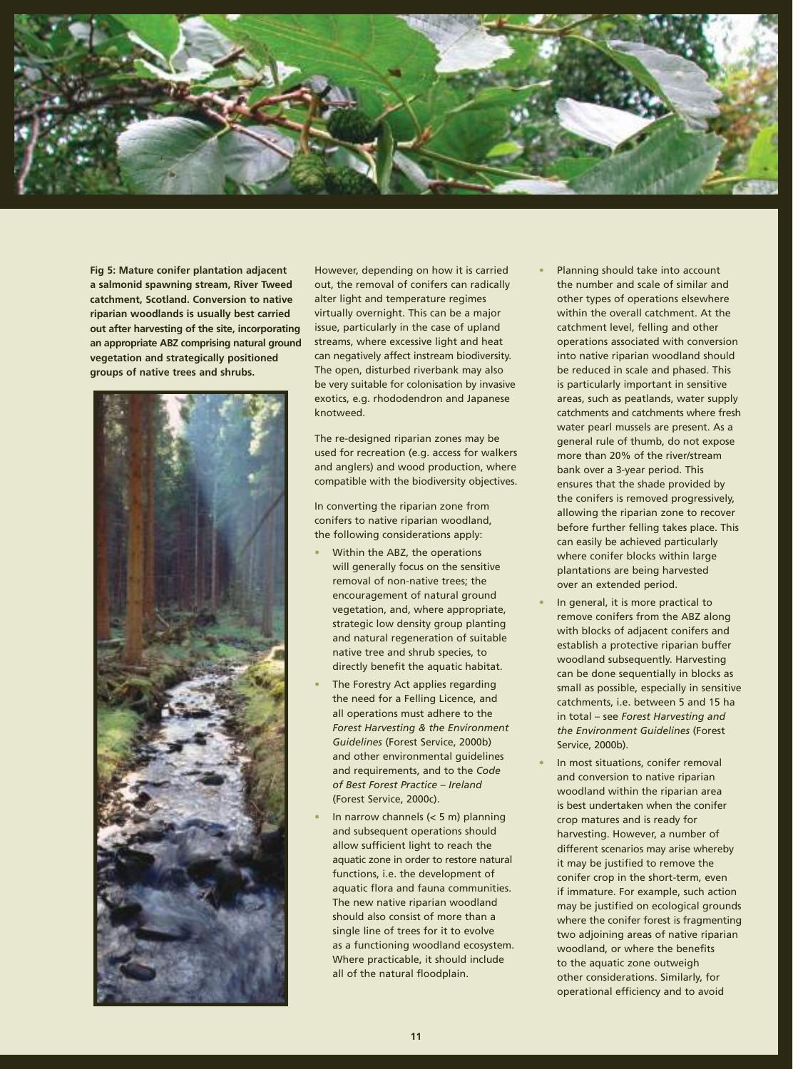

**Fig 5: Mature conifer plantation adjacent a salmonid spawning stream, River Tweed catchment, Scotland. Conversion to native riparian woodlands is usually best carried out after harvesting of the site, incorporating an appropriate ABZ comprising natural ground vegetation and strategically positioned groups of native trees and shrubs.**



However, depending on how it is carried out, the removal of conifers can radically alter light and temperature regimes virtually overnight. This can be a major issue, particularly in the case of upland streams, where excessive light and heat can negatively affect instream biodiversity. The open, disturbed riverbank may also be very suitable for colonisation by invasive exotics, e.g. rhododendron and Japanese knotweed.

The re-designed riparian zones may be used for recreation (e.g. access for walkers and anglers) and wood production, where compatible with the biodiversity objectives.

In converting the riparian zone from conifers to native riparian woodland, the following considerations apply:

- **•** Within the ABZ, the operations will generally focus on the sensitive removal of non-native trees; the encouragement of natural ground vegetation, and, where appropriate, strategic low density group planting and natural regeneration of suitable native tree and shrub species, to directly benefit the aquatic habitat.
- **•** The Forestry Act applies regarding the need for a Felling Licence, and all operations must adhere to the *Forest Harvesting & the Environment Guidelines* (Forest Service, 2000b) and other environmental guidelines and requirements, and to the *Code of Best Forest Practice – Ireland*  (Forest Service, 2000c).
- **•** In narrow channels (< 5 m) planning and subsequent operations should allow sufficient light to reach the aquatic zone in order to restore natural functions, i.e. the development of aquatic flora and fauna communities. The new native riparian woodland should also consist of more than a single line of trees for it to evolve as a functioning woodland ecosystem. Where practicable, it should include all of the natural floodplain.
- **•** Planning should take into account the number and scale of similar and other types of operations elsewhere within the overall catchment. At the catchment level, felling and other operations associated with conversion into native riparian woodland should be reduced in scale and phased. This is particularly important in sensitive areas, such as peatlands, water supply catchments and catchments where fresh water pearl mussels are present. As a general rule of thumb, do not expose more than 20% of the river/stream bank over a 3-year period. This ensures that the shade provided by the conifers is removed progressively, allowing the riparian zone to recover before further felling takes place. This can easily be achieved particularly where conifer blocks within large plantations are being harvested over an extended period.
- **•** In general, it is more practical to remove conifers from the ABZ along with blocks of adjacent conifers and establish a protective riparian buffer woodland subsequently. Harvesting can be done sequentially in blocks as small as possible, especially in sensitive catchments, i.e. between 5 and 15 ha in total – see *Forest Harvesting and the Environment Guidelines* (Forest Service, 2000b).
- **•** In most situations, conifer removal and conversion to native riparian woodland within the riparian area is best undertaken when the conifer crop matures and is ready for harvesting. However, a number of different scenarios may arise whereby it may be justified to remove the conifer crop in the short-term, even if immature. For example, such action may be justified on ecological grounds where the conifer forest is fragmenting two adjoining areas of native riparian woodland, or where the benefits to the aquatic zone outweigh other considerations. Similarly, for operational efficiency and to avoid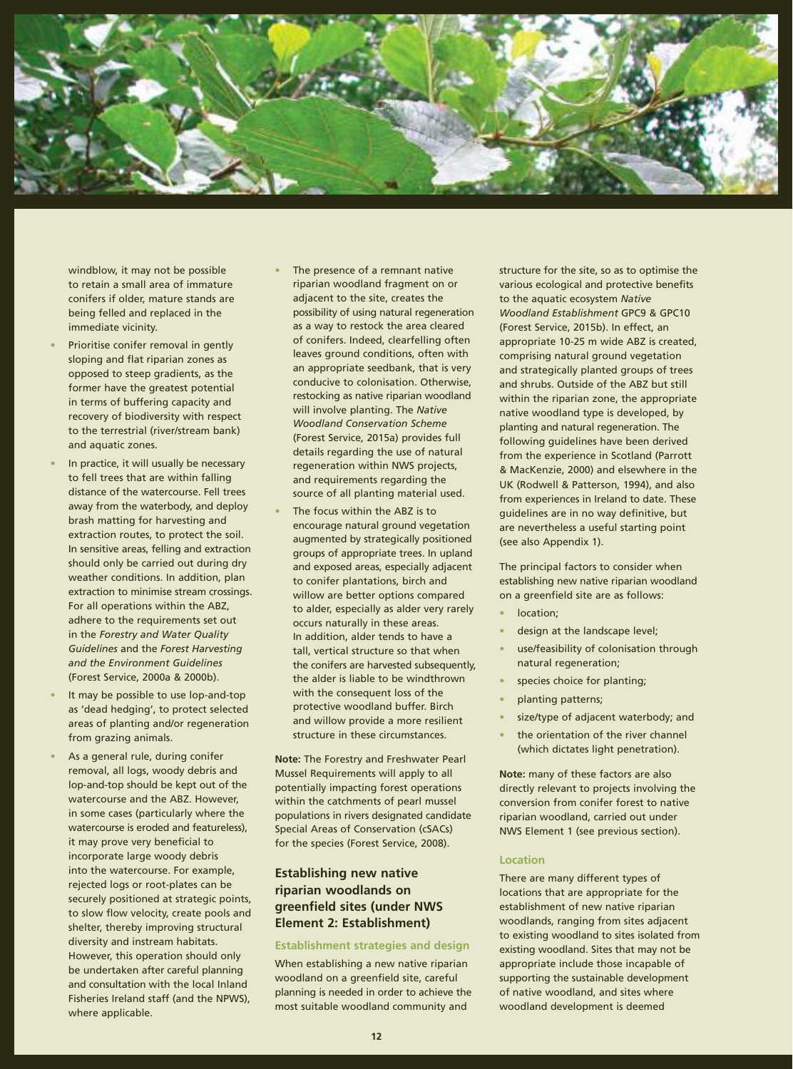

windblow, it may not be possible to retain a small area of immature conifers if older, mature stands are being felled and replaced in the immediate vicinity.

- **•** Prioritise conifer removal in gently sloping and flat riparian zones as opposed to steep gradients, as the former have the greatest potential in terms of buffering capacity and recovery of biodiversity with respect to the terrestrial (river/stream bank) and aquatic zones.
- **•** In practice, it will usually be necessary to fell trees that are within falling distance of the watercourse. Fell trees away from the waterbody, and deploy brash matting for harvesting and extraction routes, to protect the soil. In sensitive areas, felling and extraction should only be carried out during dry weather conditions. In addition, plan extraction to minimise stream crossings. For all operations within the ABZ, adhere to the requirements set out in the *Forestry and Water Quality Guidelines* and the *Forest Harvesting and the Environment Guidelines*  (Forest Service, 2000a & 2000b).
- **•** It may be possible to use lop-and-top as 'dead hedging', to protect selected areas of planting and/or regeneration from grazing animals.
- **•** As a general rule, during conifer removal, all logs, woody debris and lop-and-top should be kept out of the watercourse and the ABZ. However, in some cases (particularly where the watercourse is eroded and featureless), it may prove very beneficial to incorporate large woody debris into the watercourse. For example, rejected logs or root-plates can be securely positioned at strategic points, to slow flow velocity, create pools and shelter, thereby improving structural diversity and instream habitats. However, this operation should only be undertaken after careful planning and consultation with the local Inland Fisheries Ireland staff (and the NPWS), where applicable.
- **•** The presence of a remnant native riparian woodland fragment on or adjacent to the site, creates the possibility of using natural regeneration as a way to restock the area cleared of conifers. Indeed, clearfelling often leaves ground conditions, often with an appropriate seedbank, that is very conducive to colonisation. Otherwise, restocking as native riparian woodland will involve planting. The *Native Woodland Conservation Scheme* (Forest Service, 2015a) provides full details regarding the use of natural regeneration within NWS projects, and requirements regarding the source of all planting material used.
- **•** The focus within the ABZ is to encourage natural ground vegetation augmented by strategically positioned groups of appropriate trees. In upland and exposed areas, especially adjacent to conifer plantations, birch and willow are better options compared to alder, especially as alder very rarely occurs naturally in these areas. In addition, alder tends to have a tall, vertical structure so that when the conifers are harvested subsequently, the alder is liable to be windthrown with the consequent loss of the protective woodland buffer. Birch and willow provide a more resilient structure in these circumstances.

**Note:** The Forestry and Freshwater Pearl Mussel Requirements will apply to all potentially impacting forest operations within the catchments of pearl mussel populations in rivers designated candidate Special Areas of Conservation (cSACs) for the species (Forest Service, 2008).

# **Establishing new native riparian woodlands on greenfield sites (under NWS Element 2: Establishment)**

#### **Establishment strategies and design**

When establishing a new native riparian woodland on a greenfield site, careful planning is needed in order to achieve the most suitable woodland community and

structure for the site, so as to optimise the various ecological and protective benefits to the aquatic ecosystem *Native Woodland Establishment* GPC9 & GPC10 (Forest Service, 2015b). In effect, an appropriate 10-25 m wide ABZ is created, comprising natural ground vegetation and strategically planted groups of trees and shrubs. Outside of the ABZ but still within the riparian zone, the appropriate native woodland type is developed, by planting and natural regeneration. The following guidelines have been derived from the experience in Scotland (Parrott & MacKenzie, 2000) and elsewhere in the UK (Rodwell & Patterson, 1994), and also from experiences in Ireland to date. These guidelines are in no way definitive, but are nevertheless a useful starting point (see also Appendix 1).

The principal factors to consider when establishing new native riparian woodland on a greenfield site are as follows:

- **•** location;
- **•** design at the landscape level;
- **•** use/feasibility of colonisation through natural regeneration;
- **•** species choice for planting;
- **•** planting patterns;
- **•** size/type of adjacent waterbody; and
- **•** the orientation of the river channel (which dictates light penetration).

**Note:** many of these factors are also directly relevant to projects involving the conversion from conifer forest to native riparian woodland, carried out under NWS Element 1 (see previous section).

#### **Location**

There are many different types of locations that are appropriate for the establishment of new native riparian woodlands, ranging from sites adjacent to existing woodland to sites isolated from existing woodland. Sites that may not be appropriate include those incapable of supporting the sustainable development of native woodland, and sites where woodland development is deemed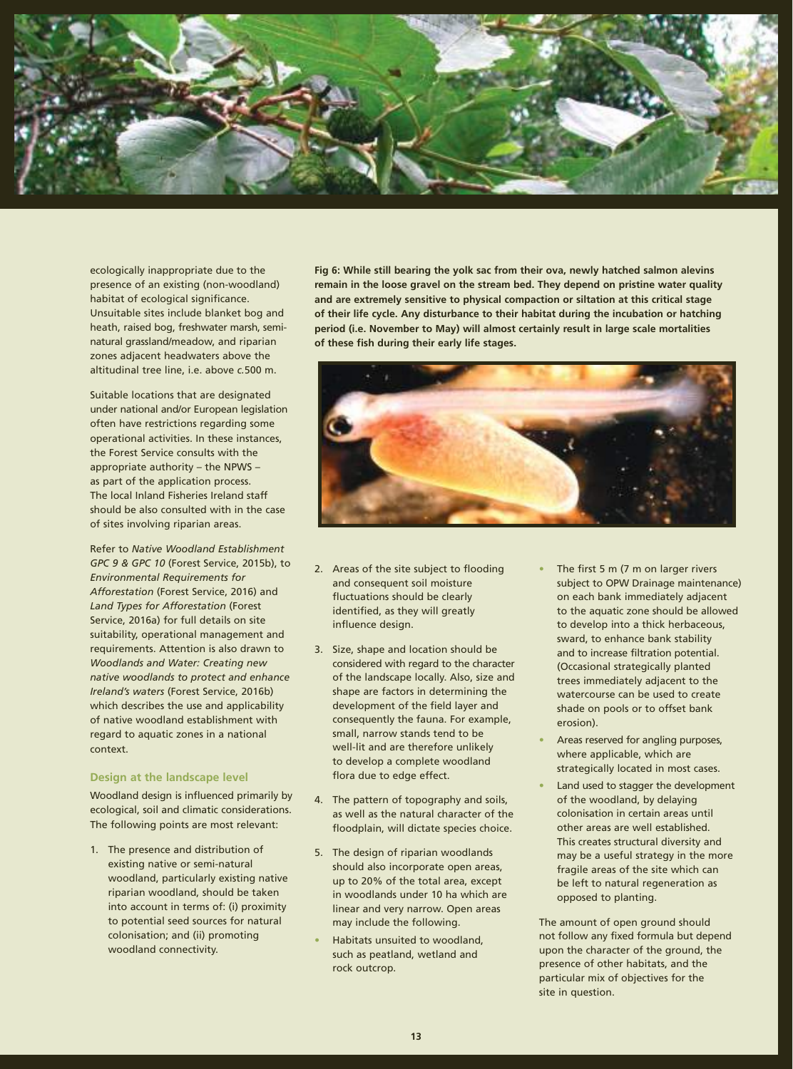

ecologically inappropriate due to the presence of an existing (non-woodland) habitat of ecological significance. Unsuitable sites include blanket bog and heath, raised bog, freshwater marsh, seminatural grassland/meadow, and riparian zones adjacent headwaters above the altitudinal tree line, i.e. above *c.*500 m.

Suitable locations that are designated under national and/or European legislation often have restrictions regarding some operational activities. In these instances, the Forest Service consults with the appropriate authority – the NPWS – as part of the application process. The local Inland Fisheries Ireland staff should be also consulted with in the case of sites involving riparian areas.

Refer to *Native Woodland Establishment GPC 9 & GPC 10* (Forest Service, 2015b), to *Environmental Requirements for Afforestation* (Forest Service, 2016) and *Land Types for Afforestation* (Forest Service, 2016a) for full details on site suitability, operational management and requirements. Attention is also drawn to *Woodlands and Water: Creating new native woodlands to protect and enhance Ireland's waters* (Forest Service, 2016b) which describes the use and applicability of native woodland establishment with regard to aquatic zones in a national context.

#### **Design at the landscape level**

Woodland design is influenced primarily by ecological, soil and climatic considerations. The following points are most relevant:

1. The presence and distribution of existing native or semi-natural woodland, particularly existing native riparian woodland, should be taken into account in terms of: (i) proximity to potential seed sources for natural colonisation; and (ii) promoting woodland connectivity.

**Fig 6: While still bearing the yolk sac from their ova, newly hatched salmon alevins remain in the loose gravel on the stream bed. They depend on pristine water quality and are extremely sensitive to physical compaction or siltation at this critical stage of their life cycle. Any disturbance to their habitat during the incubation or hatching period (i.e. November to May) will almost certainly result in large scale mortalities of these fish during their early life stages.**



- 2. Areas of the site subject to flooding and consequent soil moisture fluctuations should be clearly identified, as they will greatly influence design.
- 3. Size, shape and location should be considered with regard to the character of the landscape locally. Also, size and shape are factors in determining the development of the field layer and consequently the fauna. For example, small, narrow stands tend to be well-lit and are therefore unlikely to develop a complete woodland flora due to edge effect.
- 4. The pattern of topography and soils, as well as the natural character of the floodplain, will dictate species choice.
- 5. The design of riparian woodlands should also incorporate open areas, up to 20% of the total area, except in woodlands under 10 ha which are linear and very narrow. Open areas may include the following.
- **•** Habitats unsuited to woodland, such as peatland, wetland and rock outcrop.
- **•** The first 5 m (7 m on larger rivers subject to OPW Drainage maintenance) on each bank immediately adjacent to the aquatic zone should be allowed to develop into a thick herbaceous, sward, to enhance bank stability and to increase filtration potential. (Occasional strategically planted trees immediately adjacent to the watercourse can be used to create shade on pools or to offset bank erosion).
- **•** Areas reserved for angling purposes, where applicable, which are strategically located in most cases.
- **•** Land used to stagger the development of the woodland, by delaying colonisation in certain areas until other areas are well established. This creates structural diversity and may be a useful strategy in the more fragile areas of the site which can be left to natural regeneration as opposed to planting.

The amount of open ground should not follow any fixed formula but depend upon the character of the ground, the presence of other habitats, and the particular mix of objectives for the site in question.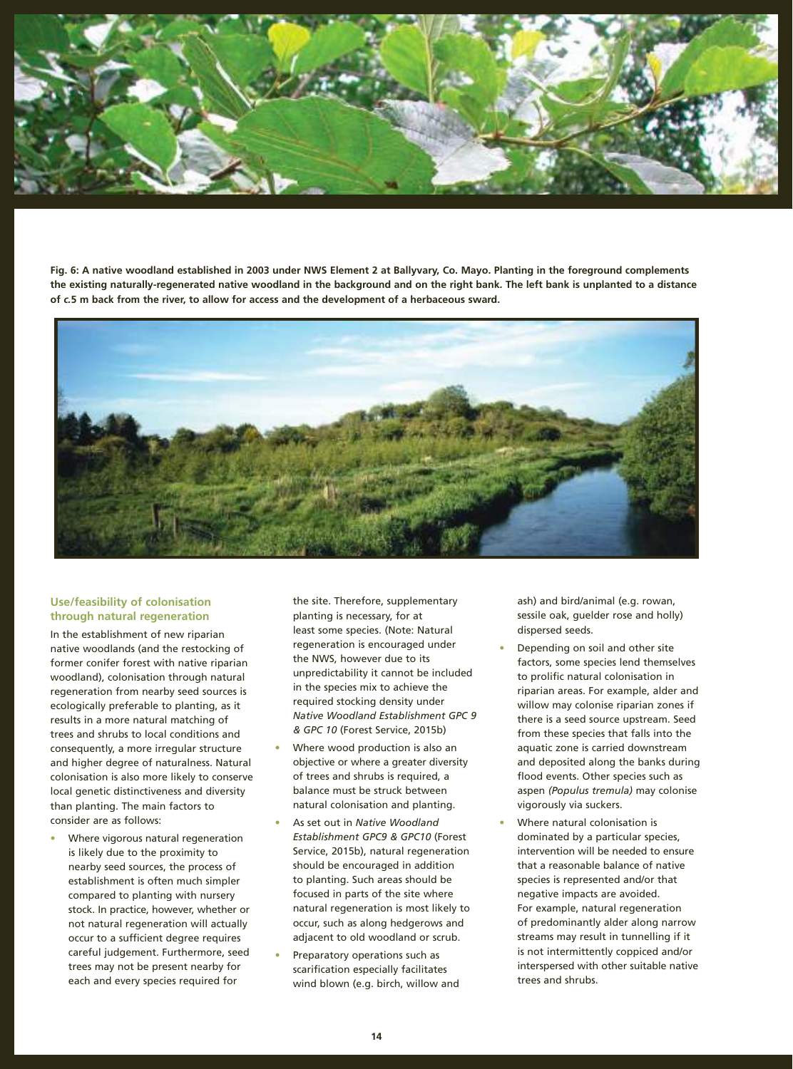

**Fig. 6: A native woodland established in 2003 under NWS Element 2 at Ballyvary, Co. Mayo. Planting in the foreground complements the existing naturally-regenerated native woodland in the background and on the right bank. The left bank is unplanted to a distance of** *c.***5 m back from the river, to allow for access and the development of a herbaceous sward.**



#### **Use/feasibility of colonisation through natural regeneration**

In the establishment of new riparian native woodlands (and the restocking of former conifer forest with native riparian woodland), colonisation through natural regeneration from nearby seed sources is ecologically preferable to planting, as it results in a more natural matching of trees and shrubs to local conditions and consequently, a more irregular structure and higher degree of naturalness. Natural colonisation is also more likely to conserve local genetic distinctiveness and diversity than planting. The main factors to consider are as follows:

**•** Where vigorous natural regeneration is likely due to the proximity to nearby seed sources, the process of establishment is often much simpler compared to planting with nursery stock. In practice, however, whether or not natural regeneration will actually occur to a sufficient degree requires careful judgement. Furthermore, seed trees may not be present nearby for each and every species required for

the site. Therefore, supplementary planting is necessary, for at least some species. (Note: Natural regeneration is encouraged under the NWS, however due to its unpredictability it cannot be included in the species mix to achieve the required stocking density under *Native Woodland Establishment GPC 9 & GPC 10* (Forest Service, 2015b)

- **•** Where wood production is also an objective or where a greater diversity of trees and shrubs is required, a balance must be struck between natural colonisation and planting.
- **•** As set out in *Native Woodland Establishment GPC9 & GPC10* (Forest Service, 2015b), natural regeneration should be encouraged in addition to planting. Such areas should be focused in parts of the site where natural regeneration is most likely to occur, such as along hedgerows and adjacent to old woodland or scrub.
- **•** Preparatory operations such as scarification especially facilitates wind blown (e.g. birch, willow and

ash) and bird/animal (e.g. rowan, sessile oak, guelder rose and holly) dispersed seeds.

- **•** Depending on soil and other site factors, some species lend themselves to prolific natural colonisation in riparian areas. For example, alder and willow may colonise riparian zones if there is a seed source upstream. Seed from these species that falls into the aquatic zone is carried downstream and deposited along the banks during flood events. Other species such as aspen *(Populus tremula)* may colonise vigorously via suckers.
- **•** Where natural colonisation is dominated by a particular species, intervention will be needed to ensure that a reasonable balance of native species is represented and/or that negative impacts are avoided. For example, natural regeneration of predominantly alder along narrow streams may result in tunnelling if it is not intermittently coppiced and/or interspersed with other suitable native trees and shrubs.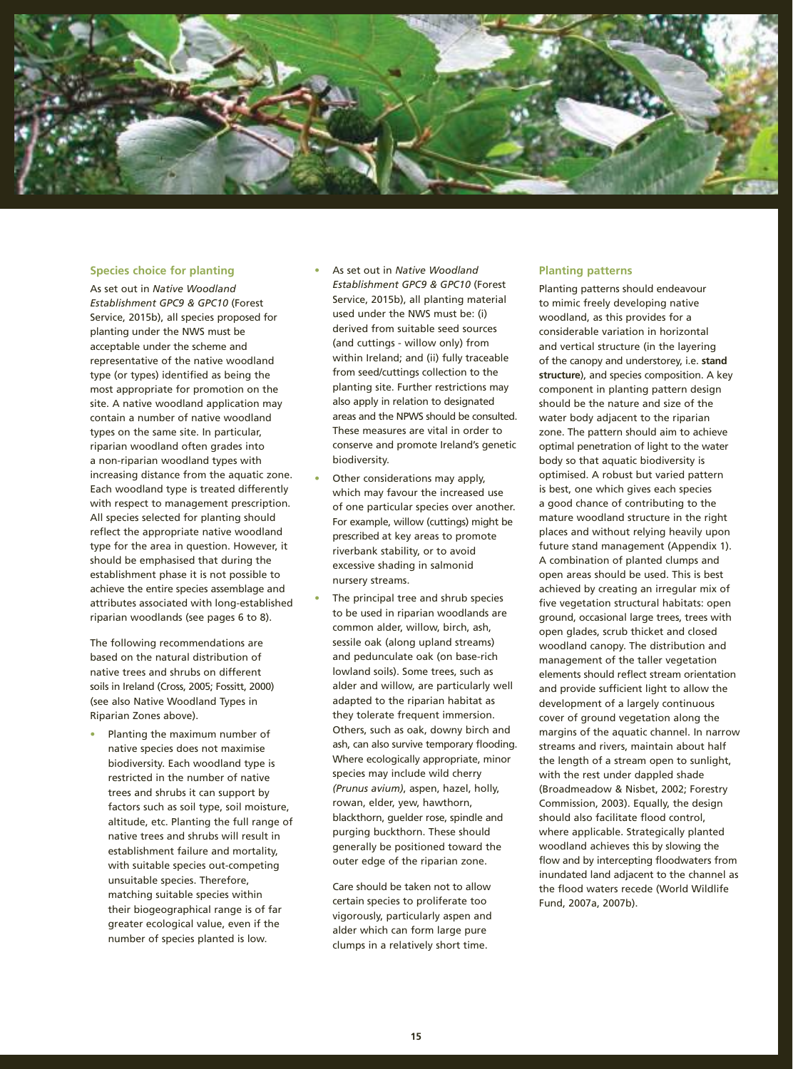

#### **Species choice for planting**

As set out in *Native Woodland Establishment GPC9 & GPC10* (Forest Service, 2015b), all species proposed for planting under the NWS must be acceptable under the scheme and representative of the native woodland type (or types) identified as being the most appropriate for promotion on the site. A native woodland application may contain a number of native woodland types on the same site. In particular, riparian woodland often grades into a non-riparian woodland types with increasing distance from the aquatic zone. Each woodland type is treated differently with respect to management prescription. All species selected for planting should reflect the appropriate native woodland type for the area in question. However, it should be emphasised that during the establishment phase it is not possible to achieve the entire species assemblage and attributes associated with long-established riparian woodlands (see pages 6 to 8).

The following recommendations are based on the natural distribution of native trees and shrubs on different soils in Ireland (Cross, 2005; Fossitt, 2000) (see also Native Woodland Types in Riparian Zones above).

**•** Planting the maximum number of native species does not maximise biodiversity. Each woodland type is restricted in the number of native trees and shrubs it can support by factors such as soil type, soil moisture, altitude, etc. Planting the full range of native trees and shrubs will result in establishment failure and mortality, with suitable species out-competing unsuitable species. Therefore, matching suitable species within their biogeographical range is of far greater ecological value, even if the number of species planted is low.

- **•** As set out in *Native Woodland Establishment GPC9 & GPC10* (Forest Service, 2015b), all planting material used under the NWS must be: (i) derived from suitable seed sources (and cuttings - willow only) from within Ireland; and (ii) fully traceable from seed/cuttings collection to the planting site. Further restrictions may also apply in relation to designated areas and the NPWS should be consulted. These measures are vital in order to conserve and promote Ireland's genetic biodiversity.
- **•** Other considerations may apply, which may favour the increased use of one particular species over another. For example, willow (cuttings) might be prescribed at key areas to promote riverbank stability, or to avoid excessive shading in salmonid nursery streams.
	- **•** The principal tree and shrub species to be used in riparian woodlands are common alder, willow, birch, ash, sessile oak (along upland streams) and pedunculate oak (on base-rich lowland soils). Some trees, such as alder and willow, are particularly well adapted to the riparian habitat as they tolerate frequent immersion. Others, such as oak, downy birch and ash, can also survive temporary flooding. Where ecologically appropriate, minor species may include wild cherry *(Prunus avium)*, aspen, hazel, holly, rowan, elder, yew, hawthorn, blackthorn, guelder rose, spindle and purging buckthorn. These should generally be positioned toward the outer edge of the riparian zone.

Care should be taken not to allow certain species to proliferate too vigorously, particularly aspen and alder which can form large pure clumps in a relatively short time.

#### **Planting patterns**

Planting patterns should endeavour to mimic freely developing native woodland, as this provides for a considerable variation in horizontal and vertical structure (in the layering of the canopy and understorey, i.e. **stand structure**), and species composition. A key component in planting pattern design should be the nature and size of the water body adjacent to the riparian zone. The pattern should aim to achieve optimal penetration of light to the water body so that aquatic biodiversity is optimised. A robust but varied pattern is best, one which gives each species a good chance of contributing to the mature woodland structure in the right places and without relying heavily upon future stand management (Appendix 1). A combination of planted clumps and open areas should be used. This is best achieved by creating an irregular mix of five vegetation structural habitats: open ground, occasional large trees, trees with open glades, scrub thicket and closed woodland canopy. The distribution and management of the taller vegetation elements should reflect stream orientation and provide sufficient light to allow the development of a largely continuous cover of ground vegetation along the margins of the aquatic channel. In narrow streams and rivers, maintain about half the length of a stream open to sunlight, with the rest under dappled shade (Broadmeadow & Nisbet, 2002; Forestry Commission, 2003). Equally, the design should also facilitate flood control, where applicable. Strategically planted woodland achieves this by slowing the flow and by intercepting floodwaters from inundated land adjacent to the channel as the flood waters recede (World Wildlife Fund, 2007a, 2007b).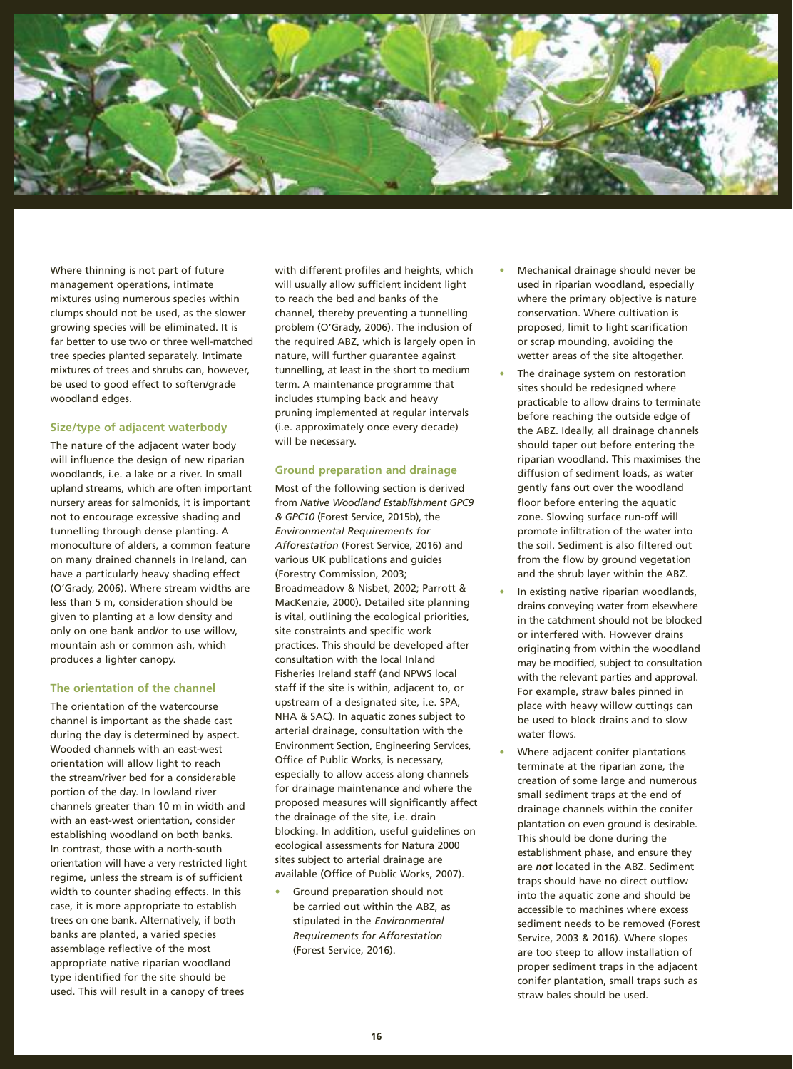

Where thinning is not part of future management operations, intimate mixtures using numerous species within clumps should not be used, as the slower growing species will be eliminated. It is far better to use two or three well-matched tree species planted separately. Intimate mixtures of trees and shrubs can, however, be used to good effect to soften/grade woodland edges.

#### **Size/type of adjacent waterbody**

The nature of the adjacent water body will influence the design of new riparian woodlands, i.e. a lake or a river. In small upland streams, which are often important nursery areas for salmonids, it is important not to encourage excessive shading and tunnelling through dense planting. A monoculture of alders, a common feature on many drained channels in Ireland, can have a particularly heavy shading effect (O'Grady, 2006). Where stream widths are less than 5 m, consideration should be given to planting at a low density and only on one bank and/or to use willow, mountain ash or common ash, which produces a lighter canopy.

#### **The orientation of the channel**

The orientation of the watercourse channel is important as the shade cast during the day is determined by aspect. Wooded channels with an east-west orientation will allow light to reach the stream/river bed for a considerable portion of the day. In lowland river channels greater than 10 m in width and with an east-west orientation, consider establishing woodland on both banks. In contrast, those with a north-south orientation will have a very restricted light regime, unless the stream is of sufficient width to counter shading effects. In this case, it is more appropriate to establish trees on one bank. Alternatively, if both banks are planted, a varied species assemblage reflective of the most appropriate native riparian woodland type identified for the site should be used. This will result in a canopy of trees

with different profiles and heights, which will usually allow sufficient incident light to reach the bed and banks of the channel, thereby preventing a tunnelling problem (O'Grady, 2006). The inclusion of the required ABZ, which is largely open in nature, will further guarantee against tunnelling, at least in the short to medium term. A maintenance programme that includes stumping back and heavy pruning implemented at regular intervals (i.e. approximately once every decade) will be necessary.

#### **Ground preparation and drainage**

Most of the following section is derived from *Native Woodland Establishment GPC9 & GPC10* (Forest Service, 2015b), the *Environmental Requirements for Afforestation* (Forest Service, 2016) and various UK publications and guides (Forestry Commission, 2003; Broadmeadow & Nisbet, 2002; Parrott & MacKenzie, 2000). Detailed site planning is vital, outlining the ecological priorities, site constraints and specific work practices. This should be developed after consultation with the local Inland Fisheries Ireland staff (and NPWS local staff if the site is within, adjacent to, or upstream of a designated site, i.e. SPA, NHA & SAC). In aquatic zones subject to arterial drainage, consultation with the Environment Section, Engineering Services, Office of Public Works, is necessary, especially to allow access along channels for drainage maintenance and where the proposed measures will significantly affect the drainage of the site, i.e. drain blocking. In addition, useful guidelines on ecological assessments for Natura 2000 sites subject to arterial drainage are available (Office of Public Works, 2007).

**•** Ground preparation should not be carried out within the ABZ, as stipulated in the *Environmental Requirements for Afforestation*  (Forest Service, 2016).

- **•** Mechanical drainage should never be used in riparian woodland, especially where the primary objective is nature conservation. Where cultivation is proposed, limit to light scarification or scrap mounding, avoiding the wetter areas of the site altogether.
- **•** The drainage system on restoration sites should be redesigned where practicable to allow drains to terminate before reaching the outside edge of the ABZ. Ideally, all drainage channels should taper out before entering the riparian woodland. This maximises the diffusion of sediment loads, as water gently fans out over the woodland floor before entering the aquatic zone. Slowing surface run-off will promote infiltration of the water into the soil. Sediment is also filtered out from the flow by ground vegetation and the shrub layer within the ABZ.
- **•** In existing native riparian woodlands, drains conveying water from elsewhere in the catchment should not be blocked or interfered with. However drains originating from within the woodland may be modified, subject to consultation with the relevant parties and approval. For example, straw bales pinned in place with heavy willow cuttings can be used to block drains and to slow water flows.
- **•** Where adjacent conifer plantations terminate at the riparian zone, the creation of some large and numerous small sediment traps at the end of drainage channels within the conifer plantation on even ground is desirable. This should be done during the establishment phase, and ensure they are *not* located in the ABZ. Sediment traps should have no direct outflow into the aquatic zone and should be accessible to machines where excess sediment needs to be removed (Forest Service, 2003 & 2016). Where slopes are too steep to allow installation of proper sediment traps in the adjacent conifer plantation, small traps such as straw bales should be used.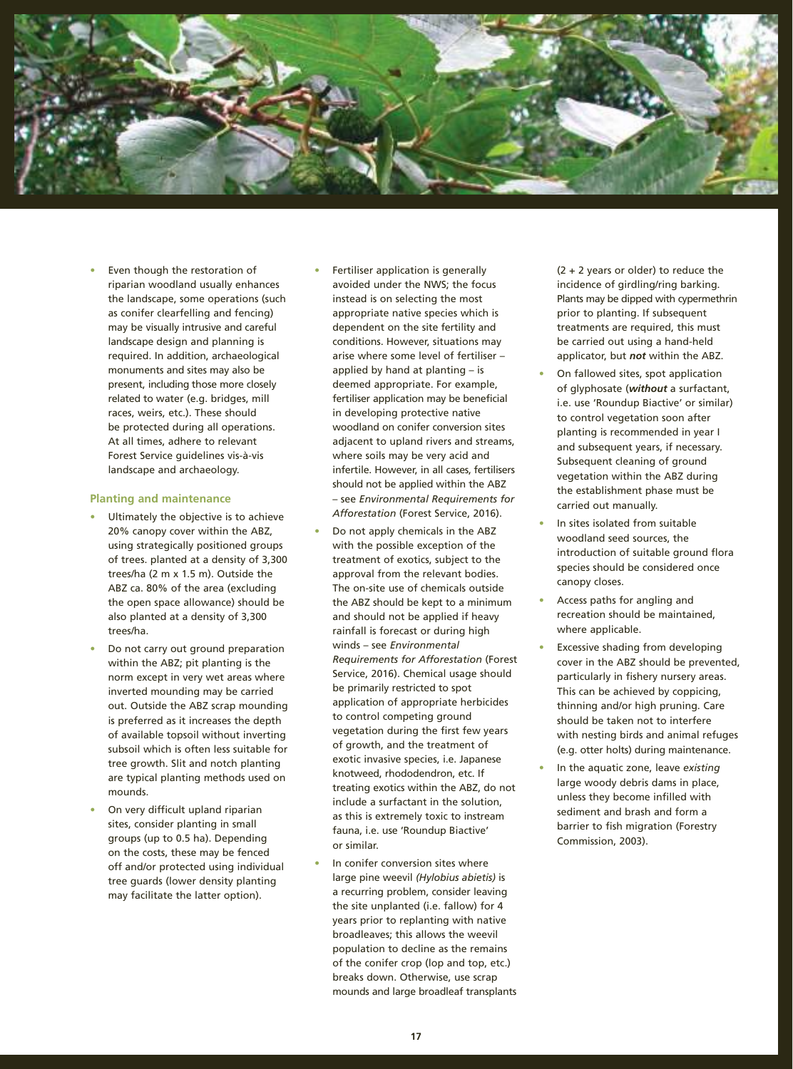

**•** Even though the restoration of riparian woodland usually enhances the landscape, some operations (such as conifer clearfelling and fencing) may be visually intrusive and careful landscape design and planning is required. In addition, archaeological monuments and sites may also be present, including those more closely related to water (e.g. bridges, mill races, weirs, etc.). These should be protected during all operations. At all times, adhere to relevant Forest Service guidelines vis-à-vis landscape and archaeology.

#### **Planting and maintenance**

- **•** Ultimately the objective is to achieve 20% canopy cover within the ABZ, using strategically positioned groups of trees. planted at a density of 3,300 trees/ha (2 m x 1.5 m). Outside the ABZ ca. 80% of the area (excluding the open space allowance) should be also planted at a density of 3,300 trees/ha.
- **•** Do not carry out ground preparation within the ABZ; pit planting is the norm except in very wet areas where inverted mounding may be carried out. Outside the ABZ scrap mounding is preferred as it increases the depth of available topsoil without inverting subsoil which is often less suitable for tree growth. Slit and notch planting are typical planting methods used on mounds.
- **•** On very difficult upland riparian sites, consider planting in small groups (up to 0.5 ha). Depending on the costs, these may be fenced off and/or protected using individual tree guards (lower density planting may facilitate the latter option).
- **•** Fertiliser application is generally avoided under the NWS; the focus instead is on selecting the most appropriate native species which is dependent on the site fertility and conditions. However, situations may arise where some level of fertiliser – applied by hand at planting – is deemed appropriate. For example, fertiliser application may be beneficial in developing protective native woodland on conifer conversion sites adjacent to upland rivers and streams, where soils may be very acid and infertile. However, in all cases, fertilisers should not be applied within the ABZ – see *Environmental Requirements for Afforestation* (Forest Service, 2016).
- **•** Do not apply chemicals in the ABZ with the possible exception of the treatment of exotics, subject to the approval from the relevant bodies. The on-site use of chemicals outside the ABZ should be kept to a minimum and should not be applied if heavy rainfall is forecast or during high winds – see *Environmental Requirements for Afforestation* (Forest Service, 2016). Chemical usage should be primarily restricted to spot application of appropriate herbicides to control competing ground vegetation during the first few years of growth, and the treatment of exotic invasive species, i.e. Japanese knotweed, rhododendron, etc. If treating exotics within the ABZ, do not include a surfactant in the solution, as this is extremely toxic to instream fauna, i.e. use 'Roundup Biactive' or similar.
- **•** In conifer conversion sites where large pine weevil *(Hylobius abietis)* is a recurring problem, consider leaving the site unplanted (i.e. fallow) for 4 years prior to replanting with native broadleaves; this allows the weevil population to decline as the remains of the conifer crop (lop and top, etc.) breaks down. Otherwise, use scrap mounds and large broadleaf transplants

(2 + 2 years or older) to reduce the incidence of girdling/ring barking. Plants may be dipped with cypermethrin prior to planting. If subsequent treatments are required, this must be carried out using a hand-held applicator, but *not* within the ABZ.

- **•** On fallowed sites, spot application of glyphosate (*without* a surfactant, i.e. use 'Roundup Biactive' or similar) to control vegetation soon after planting is recommended in year I and subsequent years, if necessary. Subsequent cleaning of ground vegetation within the ABZ during the establishment phase must be carried out manually.
- **•** In sites isolated from suitable woodland seed sources, the introduction of suitable ground flora species should be considered once canopy closes.
- **•** Access paths for angling and recreation should be maintained, where applicable.
- **•** Excessive shading from developing cover in the ABZ should be prevented, particularly in fishery nursery areas. This can be achieved by coppicing, thinning and/or high pruning. Care should be taken not to interfere with nesting birds and animal refuges (e.g. otter holts) during maintenance.
- **•** In the aquatic zone, leave *existing* large woody debris dams in place, unless they become infilled with sediment and brash and form a barrier to fish migration (Forestry Commission, 2003).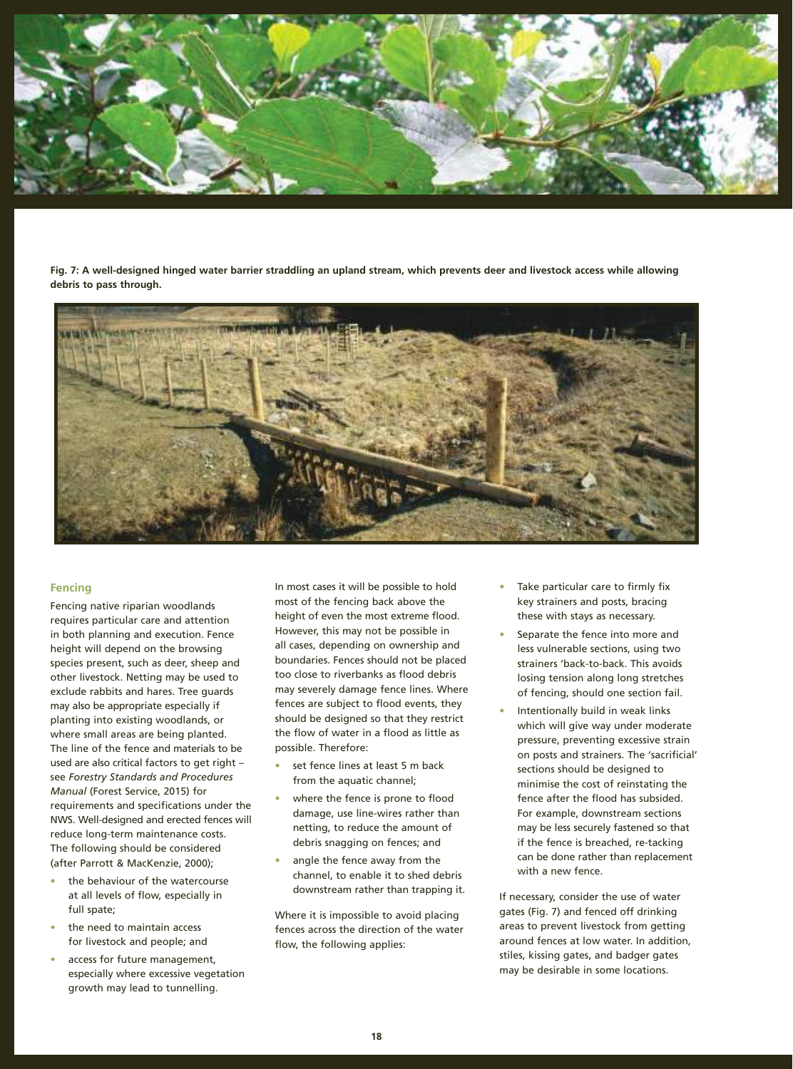

**Fig. 7: A well-designed hinged water barrier straddling an upland stream, which prevents deer and livestock access while allowing debris to pass through.**



#### **Fencing**

Fencing native riparian woodlands requires particular care and attention in both planning and execution. Fence height will depend on the browsing species present, such as deer, sheep and other livestock. Netting may be used to exclude rabbits and hares. Tree guards may also be appropriate especially if planting into existing woodlands, or where small areas are being planted. The line of the fence and materials to be used are also critical factors to get right – see *Forestry Standards and Procedures Manual* (Forest Service, 2015) for requirements and specifications under the NWS. Well-designed and erected fences will reduce long-term maintenance costs. The following should be considered (after Parrott & MacKenzie, 2000);

- **•** the behaviour of the watercourse at all levels of flow, especially in full spate;
- **•** the need to maintain access for livestock and people; and
- **•** access for future management, especially where excessive vegetation growth may lead to tunnelling.

In most cases it will be possible to hold most of the fencing back above the height of even the most extreme flood. However, this may not be possible in all cases, depending on ownership and boundaries. Fences should not be placed too close to riverbanks as flood debris may severely damage fence lines. Where fences are subject to flood events, they should be designed so that they restrict the flow of water in a flood as little as possible. Therefore:

- **•** set fence lines at least 5 m back from the aquatic channel;
- **•** where the fence is prone to flood damage, use line-wires rather than netting, to reduce the amount of debris snagging on fences; and
- **•** angle the fence away from the channel, to enable it to shed debris downstream rather than trapping it.

Where it is impossible to avoid placing fences across the direction of the water flow, the following applies:

- **•** Take particular care to firmly fix key strainers and posts, bracing these with stays as necessary.
- **•** Separate the fence into more and less vulnerable sections, using two strainers 'back-to-back. This avoids losing tension along long stretches of fencing, should one section fail.
- **•** Intentionally build in weak links which will give way under moderate pressure, preventing excessive strain on posts and strainers. The 'sacrificial' sections should be designed to minimise the cost of reinstating the fence after the flood has subsided. For example, downstream sections may be less securely fastened so that if the fence is breached, re-tacking can be done rather than replacement with a new fence.

If necessary, consider the use of water gates (Fig. 7) and fenced off drinking areas to prevent livestock from getting around fences at low water. In addition, stiles, kissing gates, and badger gates may be desirable in some locations.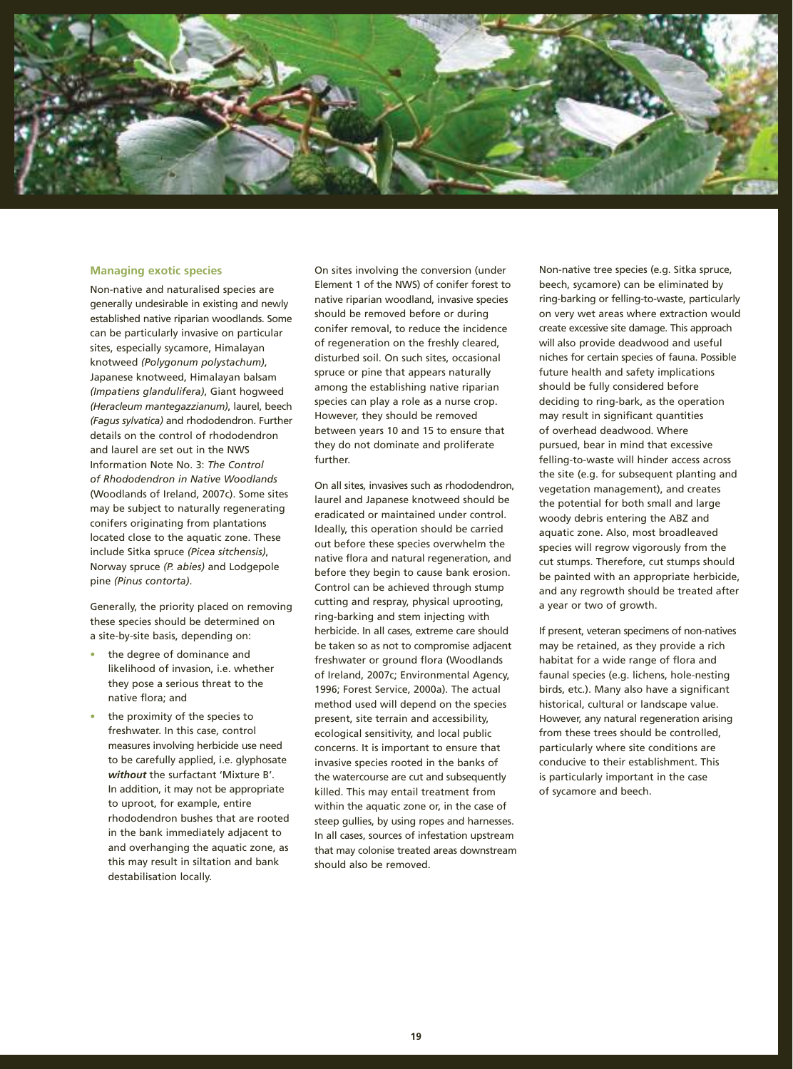

#### **Managing exotic species**

Non-native and naturalised species are generally undesirable in existing and newly established native riparian woodlands. Some can be particularly invasive on particular sites, especially sycamore, Himalayan knotweed *(Polygonum polystachum)*, Japanese knotweed, Himalayan balsam *(Impatiens glandulifera)*, Giant hogweed *(Heracleum mantegazzianum)*, laurel, beech *(Fagus sylvatica)* and rhododendron. Further details on the control of rhododendron and laurel are set out in the NWS Information Note No. 3: *The Control of Rhododendron in Native Woodlands*  (Woodlands of Ireland, 2007c). Some sites may be subject to naturally regenerating conifers originating from plantations located close to the aquatic zone. These include Sitka spruce *(Picea sitchensis)*, Norway spruce *(P. abies)* and Lodgepole pine *(Pinus contorta)*.

Generally, the priority placed on removing these species should be determined on a site-by-site basis, depending on:

- **•** the degree of dominance and likelihood of invasion, i.e. whether they pose a serious threat to the native flora; and
- **•** the proximity of the species to freshwater. In this case, control measures involving herbicide use need to be carefully applied, i.e. glyphosate *without* the surfactant 'Mixture B'. In addition, it may not be appropriate to uproot, for example, entire rhododendron bushes that are rooted in the bank immediately adjacent to and overhanging the aquatic zone, as this may result in siltation and bank destabilisation locally.

On sites involving the conversion (under Element 1 of the NWS) of conifer forest to native riparian woodland, invasive species should be removed before or during conifer removal, to reduce the incidence of regeneration on the freshly cleared, disturbed soil. On such sites, occasional spruce or pine that appears naturally among the establishing native riparian species can play a role as a nurse crop. However, they should be removed between years 10 and 15 to ensure that they do not dominate and proliferate further.

On all sites, invasives such as rhododendron, laurel and Japanese knotweed should be eradicated or maintained under control. Ideally, this operation should be carried out before these species overwhelm the native flora and natural regeneration, and before they begin to cause bank erosion. Control can be achieved through stump cutting and respray, physical uprooting, ring-barking and stem injecting with herbicide. In all cases, extreme care should be taken so as not to compromise adjacent freshwater or ground flora (Woodlands of Ireland, 2007c; Environmental Agency, 1996; Forest Service, 2000a). The actual method used will depend on the species present, site terrain and accessibility, ecological sensitivity, and local public concerns. It is important to ensure that invasive species rooted in the banks of the watercourse are cut and subsequently killed. This may entail treatment from within the aquatic zone or, in the case of steep gullies, by using ropes and harnesses. In all cases, sources of infestation upstream that may colonise treated areas downstream should also be removed.

Non-native tree species (e.g. Sitka spruce, beech, sycamore) can be eliminated by ring-barking or felling-to-waste, particularly on very wet areas where extraction would create excessive site damage. This approach will also provide deadwood and useful niches for certain species of fauna. Possible future health and safety implications should be fully considered before deciding to ring-bark, as the operation may result in significant quantities of overhead deadwood. Where pursued, bear in mind that excessive felling-to-waste will hinder access across the site (e.g. for subsequent planting and vegetation management), and creates the potential for both small and large woody debris entering the ABZ and aquatic zone. Also, most broadleaved species will regrow vigorously from the cut stumps. Therefore, cut stumps should be painted with an appropriate herbicide, and any regrowth should be treated after a year or two of growth.

If present, veteran specimens of non-natives may be retained, as they provide a rich habitat for a wide range of flora and faunal species (e.g. lichens, hole-nesting birds, etc.). Many also have a significant historical, cultural or landscape value. However, any natural regeneration arising from these trees should be controlled, particularly where site conditions are conducive to their establishment. This is particularly important in the case of sycamore and beech.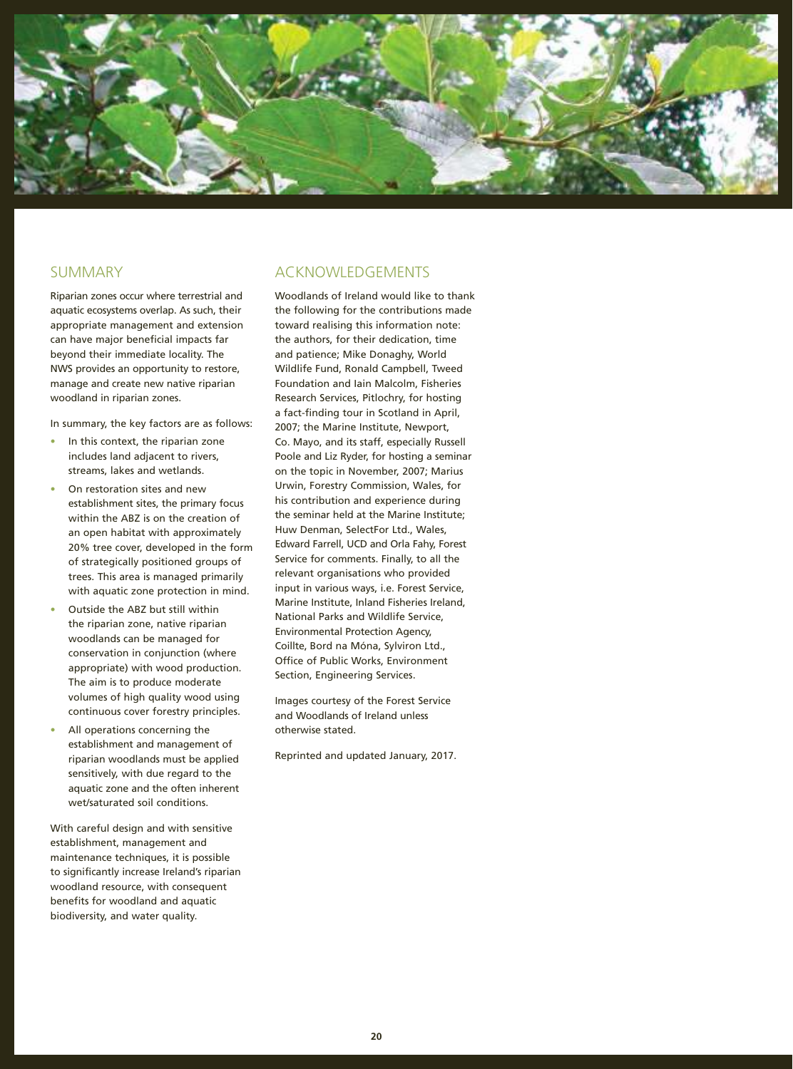

# SUMMARY

Riparian zones occur where terrestrial and aquatic ecosystems overlap. As such, their appropriate management and extension can have major beneficial impacts far beyond their immediate locality. The NWS provides an opportunity to restore, manage and create new native riparian woodland in riparian zones.

In summary, the key factors are as follows:

- **•** In this context, the riparian zone includes land adjacent to rivers, streams, lakes and wetlands.
- **•** On restoration sites and new establishment sites, the primary focus within the ABZ is on the creation of an open habitat with approximately 20% tree cover, developed in the form of strategically positioned groups of trees. This area is managed primarily with aquatic zone protection in mind.
- **•** Outside the ABZ but still within the riparian zone, native riparian woodlands can be managed for conservation in conjunction (where appropriate) with wood production. The aim is to produce moderate volumes of high quality wood using continuous cover forestry principles.
- **•** All operations concerning the establishment and management of riparian woodlands must be applied sensitively, with due regard to the aquatic zone and the often inherent wet/saturated soil conditions.

With careful design and with sensitive establishment, management and maintenance techniques, it is possible to significantly increase Ireland's riparian woodland resource, with consequent benefits for woodland and aquatic biodiversity, and water quality.

# ACKNOWLEDGEMENTS

Woodlands of Ireland would like to thank the following for the contributions made toward realising this information note: the authors, for their dedication, time and patience; Mike Donaghy, World Wildlife Fund, Ronald Campbell, Tweed Foundation and Iain Malcolm, Fisheries Research Services, Pitlochry, for hosting a fact-finding tour in Scotland in April, 2007; the Marine Institute, Newport, Co. Mayo, and its staff, especially Russell Poole and Liz Ryder, for hosting a seminar on the topic in November, 2007; Marius Urwin, Forestry Commission, Wales, for his contribution and experience during the seminar held at the Marine Institute; Huw Denman, SelectFor Ltd., Wales, Edward Farrell, UCD and Orla Fahy, Forest Service for comments. Finally, to all the relevant organisations who provided input in various ways, i.e. Forest Service, Marine Institute, Inland Fisheries Ireland, National Parks and Wildlife Service, Environmental Protection Agency, Coillte, Bord na Móna, Sylviron Ltd., Office of Public Works, Environment Section, Engineering Services.

Images courtesy of the Forest Service and Woodlands of Ireland unless otherwise stated.

Reprinted and updated January, 2017.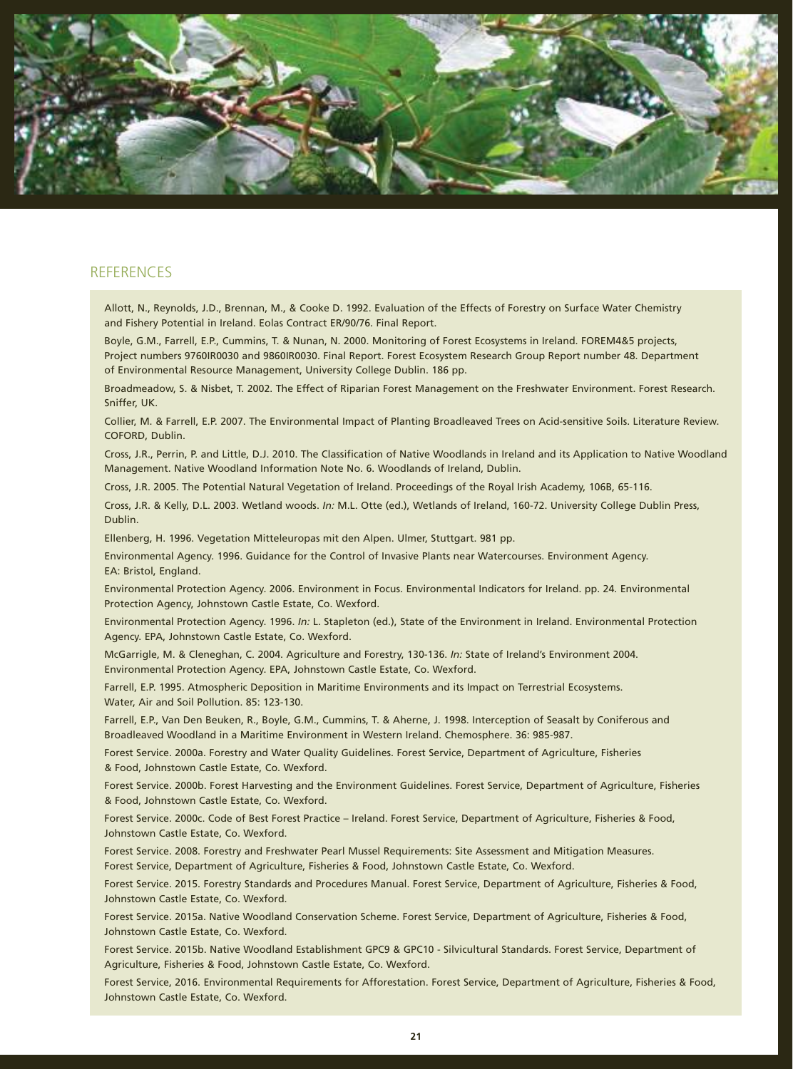

### **REFERENCES**

Allott, N., Reynolds, J.D., Brennan, M., & Cooke D. 1992. Evaluation of the Effects of Forestry on Surface Water Chemistry and Fishery Potential in Ireland. Eolas Contract ER/90/76. Final Report.

Boyle, G.M., Farrell, E.P., Cummins, T. & Nunan, N. 2000. Monitoring of Forest Ecosystems in Ireland. FOREM4&5 projects, Project numbers 9760IR0030 and 9860IR0030. Final Report. Forest Ecosystem Research Group Report number 48. Department of Environmental Resource Management, University College Dublin. 186 pp.

Broadmeadow, S. & Nisbet, T. 2002. The Effect of Riparian Forest Management on the Freshwater Environment. Forest Research. Sniffer, UK.

Collier, M. & Farrell, E.P. 2007. The Environmental Impact of Planting Broadleaved Trees on Acid-sensitive Soils. Literature Review. COFORD, Dublin.

Cross, J.R., Perrin, P. and Little, D.J. 2010. The Classification of Native Woodlands in Ireland and its Application to Native Woodland Management. Native Woodland Information Note No. 6. Woodlands of Ireland, Dublin.

Cross, J.R. 2005. The Potential Natural Vegetation of Ireland. Proceedings of the Royal Irish Academy, 106B, 65-116.

Cross, J.R. & Kelly, D.L. 2003. Wetland woods. *In:* M.L. Otte (ed.), Wetlands of Ireland, 160-72. University College Dublin Press, Dublin.

Ellenberg, H. 1996. Vegetation Mitteleuropas mit den Alpen. Ulmer, Stuttgart. 981 pp.

Environmental Agency. 1996. Guidance for the Control of Invasive Plants near Watercourses. Environment Agency. EA: Bristol, England.

Environmental Protection Agency. 2006. Environment in Focus. Environmental Indicators for Ireland. pp. 24. Environmental Protection Agency, Johnstown Castle Estate, Co. Wexford.

Environmental Protection Agency. 1996. *In:* L. Stapleton (ed.), State of the Environment in Ireland. Environmental Protection Agency. EPA, Johnstown Castle Estate, Co. Wexford.

McGarrigle, M. & Cleneghan, C. 2004. Agriculture and Forestry, 130-136. *In:* State of Ireland's Environment 2004. Environmental Protection Agency. EPA, Johnstown Castle Estate, Co. Wexford.

Farrell, E.P. 1995. Atmospheric Deposition in Maritime Environments and its Impact on Terrestrial Ecosystems. Water, Air and Soil Pollution. 85: 123-130.

Farrell, E.P., Van Den Beuken, R., Boyle, G.M., Cummins, T. & Aherne, J. 1998. Interception of Seasalt by Coniferous and Broadleaved Woodland in a Maritime Environment in Western Ireland. Chemosphere. 36: 985-987.

Forest Service. 2000a. Forestry and Water Quality Guidelines. Forest Service, Department of Agriculture, Fisheries & Food, Johnstown Castle Estate, Co. Wexford.

Forest Service. 2000b. Forest Harvesting and the Environment Guidelines. Forest Service, Department of Agriculture, Fisheries & Food, Johnstown Castle Estate, Co. Wexford.

Forest Service. 2000c. Code of Best Forest Practice – Ireland. Forest Service, Department of Agriculture, Fisheries & Food, Johnstown Castle Estate, Co. Wexford.

Forest Service. 2008. Forestry and Freshwater Pearl Mussel Requirements: Site Assessment and Mitigation Measures. Forest Service, Department of Agriculture, Fisheries & Food, Johnstown Castle Estate, Co. Wexford.

Forest Service. 2015. Forestry Standards and Procedures Manual. Forest Service, Department of Agriculture, Fisheries & Food, Johnstown Castle Estate, Co. Wexford.

Forest Service. 2015a. Native Woodland Conservation Scheme. Forest Service, Department of Agriculture, Fisheries & Food, Johnstown Castle Estate, Co. Wexford.

Forest Service. 2015b. Native Woodland Establishment GPC9 & GPC10 - Silvicultural Standards. Forest Service, Department of Agriculture, Fisheries & Food, Johnstown Castle Estate, Co. Wexford.

Forest Service, 2016. Environmental Requirements for Afforestation. Forest Service, Department of Agriculture, Fisheries & Food, Johnstown Castle Estate, Co. Wexford.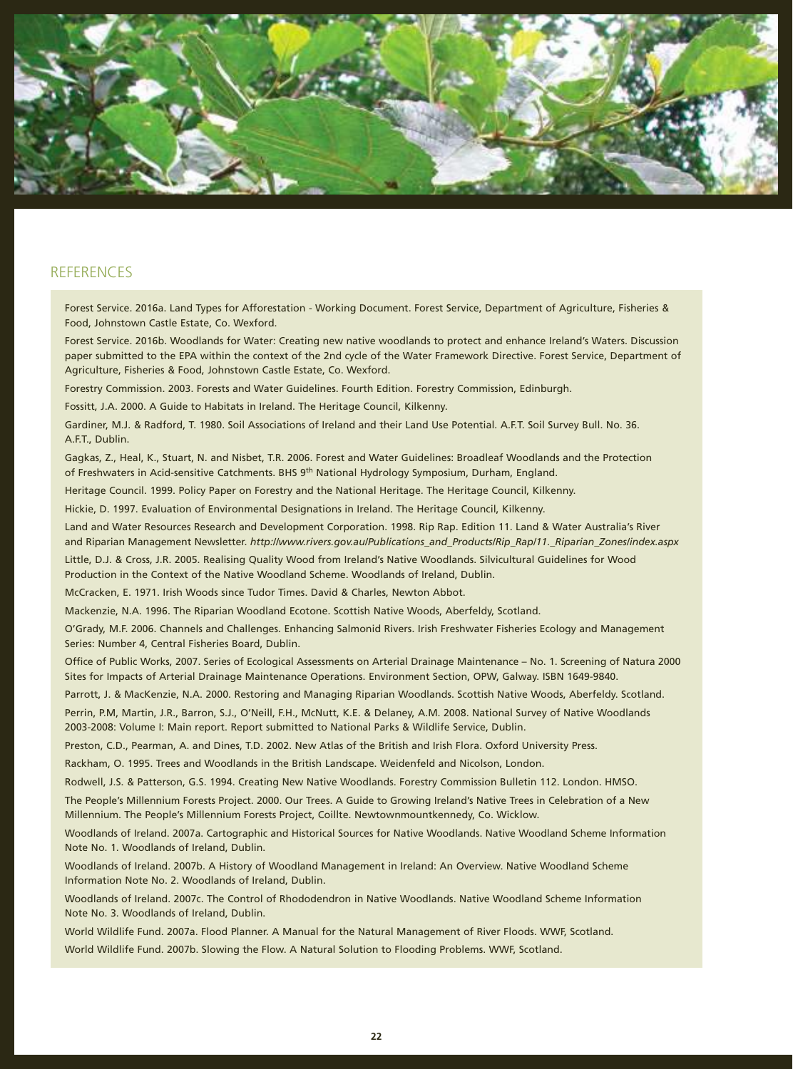

# **REFERENCES**

Forest Service. 2016a. Land Types for Afforestation - Working Document. Forest Service, Department of Agriculture, Fisheries & Food, Johnstown Castle Estate, Co. Wexford.

Forest Service. 2016b. Woodlands for Water: Creating new native woodlands to protect and enhance Ireland's Waters. Discussion paper submitted to the EPA within the context of the 2nd cycle of the Water Framework Directive. Forest Service, Department of Agriculture, Fisheries & Food, Johnstown Castle Estate, Co. Wexford.

Forestry Commission. 2003. Forests and Water Guidelines. Fourth Edition. Forestry Commission, Edinburgh.

Fossitt, J.A. 2000. A Guide to Habitats in Ireland. The Heritage Council, Kilkenny.

Gardiner, M.J. & Radford, T. 1980. Soil Associations of Ireland and their Land Use Potential. A.F.T. Soil Survey Bull. No. 36. A.F.T., Dublin.

Gagkas, Z., Heal, K., Stuart, N. and Nisbet, T.R. 2006. Forest and Water Guidelines: Broadleaf Woodlands and the Protection of Freshwaters in Acid-sensitive Catchments. BHS 9th National Hydrology Symposium, Durham, England.

Heritage Council. 1999. Policy Paper on Forestry and the National Heritage. The Heritage Council, Kilkenny.

Hickie, D. 1997. Evaluation of Environmental Designations in Ireland. The Heritage Council, Kilkenny.

Land and Water Resources Research and Development Corporation. 1998. Rip Rap. Edition 11. Land & Water Australia's River and Riparian Management Newsletter. *http://www.rivers.gov.au/Publications\_and\_Products/Rip\_Rap/11.\_Riparian\_Zones/index.aspx*

Little, D.J. & Cross, J.R. 2005. Realising Quality Wood from Ireland's Native Woodlands. Silvicultural Guidelines for Wood Production in the Context of the Native Woodland Scheme. Woodlands of Ireland, Dublin.

McCracken, E. 1971. Irish Woods since Tudor Times. David & Charles, Newton Abbot.

Mackenzie, N.A. 1996. The Riparian Woodland Ecotone. Scottish Native Woods, Aberfeldy, Scotland.

O'Grady, M.F. 2006. Channels and Challenges. Enhancing Salmonid Rivers. Irish Freshwater Fisheries Ecology and Management Series: Number 4, Central Fisheries Board, Dublin.

Office of Public Works, 2007. Series of Ecological Assessments on Arterial Drainage Maintenance – No. 1. Screening of Natura 2000 Sites for Impacts of Arterial Drainage Maintenance Operations. Environment Section, OPW, Galway. ISBN 1649-9840.

Parrott, J. & MacKenzie, N.A. 2000. Restoring and Managing Riparian Woodlands. Scottish Native Woods, Aberfeldy. Scotland.

Perrin, P.M, Martin, J.R., Barron, S.J., O'Neill, F.H., McNutt, K.E. & Delaney, A.M. 2008. National Survey of Native Woodlands 2003-2008: Volume I: Main report. Report submitted to National Parks & Wildlife Service, Dublin.

Preston, C.D., Pearman, A. and Dines, T.D. 2002. New Atlas of the British and Irish Flora. Oxford University Press.

Rackham, O. 1995. Trees and Woodlands in the British Landscape. Weidenfeld and Nicolson, London.

Rodwell, J.S. & Patterson, G.S. 1994. Creating New Native Woodlands. Forestry Commission Bulletin 112. London. HMSO.

The People's Millennium Forests Project. 2000. Our Trees. A Guide to Growing Ireland's Native Trees in Celebration of a New Millennium. The People's Millennium Forests Project, Coillte. Newtownmountkennedy, Co. Wicklow.

Woodlands of Ireland. 2007a. Cartographic and Historical Sources for Native Woodlands. Native Woodland Scheme Information Note No. 1. Woodlands of Ireland, Dublin.

Woodlands of Ireland. 2007b. A History of Woodland Management in Ireland: An Overview. Native Woodland Scheme Information Note No. 2. Woodlands of Ireland, Dublin.

Woodlands of Ireland. 2007c. The Control of Rhododendron in Native Woodlands. Native Woodland Scheme Information Note No. 3. Woodlands of Ireland, Dublin.

World Wildlife Fund. 2007a. Flood Planner. A Manual for the Natural Management of River Floods. WWF, Scotland. World Wildlife Fund. 2007b. Slowing the Flow. A Natural Solution to Flooding Problems. WWF, Scotland.